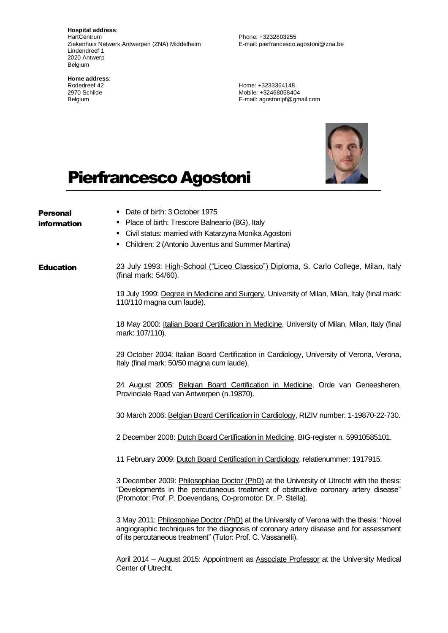**Hospital address**: HartCentrum Ziekenhuis Netwerk Antwerpen (ZNA) Middelheim Lindendreef 1 2020 Antwerp Belgium

**Home address**: Rodedreef 42 2970 Schilde Belgium

Phone: +3232803255 E-mail: pierfrancesco.agostoni@zna.be

Home: +3233364148 Mobile: +32468058404 E-mail: agostonipf@gmail.com



## Pierfrancesco Agostoni

| <b>Personal</b>  | Date of birth: 3 October 1975                                                                                                                                                                                                                        |
|------------------|------------------------------------------------------------------------------------------------------------------------------------------------------------------------------------------------------------------------------------------------------|
| information      | Place of birth: Trescore Balneario (BG), Italy                                                                                                                                                                                                       |
|                  | Civil status: married with Katarzyna Monika Agostoni                                                                                                                                                                                                 |
|                  | Children: 2 (Antonio Juventus and Summer Martina)<br>٠                                                                                                                                                                                               |
| <b>Education</b> | 23 July 1993: High-School ("Liceo Classico") Diploma, S. Carlo College, Milan, Italy<br>(final mark: 54/60).                                                                                                                                         |
|                  | 19 July 1999: Degree in Medicine and Surgery, University of Milan, Milan, Italy (final mark:<br>110/110 magna cum laude).                                                                                                                            |
|                  | 18 May 2000: Italian Board Certification in Medicine, University of Milan, Milan, Italy (final<br>mark: 107/110).                                                                                                                                    |
|                  | 29 October 2004: Italian Board Certification in Cardiology, University of Verona, Verona,<br>Italy (final mark: 50/50 magna cum laude).                                                                                                              |
|                  | 24 August 2005: Belgian Board Certification in Medicine, Orde van Geneesheren,<br>Provinciale Raad van Antwerpen (n.19870).                                                                                                                          |
|                  | 30 March 2006: Belgian Board Certification in Cardiology, RIZIV number: 1-19870-22-730.                                                                                                                                                              |
|                  | 2 December 2008: Dutch Board Certification in Medicine, BIG-register n. 59910585101.                                                                                                                                                                 |
|                  | 11 February 2009: Dutch Board Certification in Cardiology, relatienummer: 1917915.                                                                                                                                                                   |
|                  | 3 December 2009: Philosophiae Doctor (PhD) at the University of Utrecht with the thesis:<br>"Developments in the percutaneous treatment of obstructive coronary artery disease"<br>(Promotor: Prof. P. Doevendans, Co-promotor: Dr. P. Stella).      |
|                  | 3 May 2011: Philosophiae Doctor (PhD) at the University of Verona with the thesis: "Novel<br>angiographic techniques for the diagnosis of coronary artery disease and for assessment<br>of its percutaneous treatment" (Tutor: Prof. C. Vassanelli). |
|                  | April 2014 - August 2015: Appointment as <b>Associate Professor</b> at the University Medical<br>Center of Utrecht.                                                                                                                                  |
|                  |                                                                                                                                                                                                                                                      |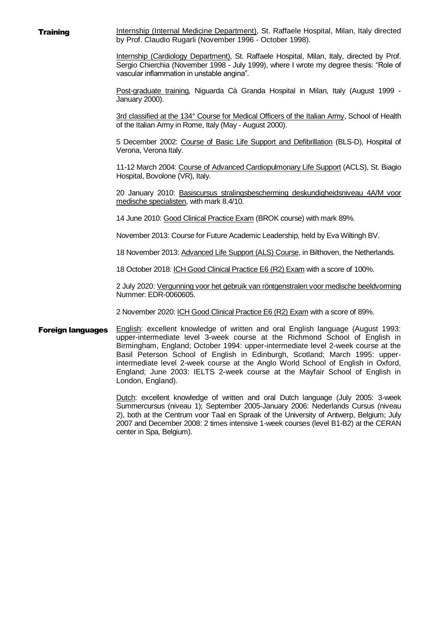**Training Internship (Internal Medicine Department)**, St. Raffaele Hospital, Milan, Italy directed by Prof. Claudio Rugarli (November 1996 - October 1998).

> Internship (Cardiology Department), St. Raffaele Hospital, Milan, Italy, directed by Prof. Sergio Chierchia (November 1998 - July 1999), where I wrote my degree thesis: "Role of vascular inflammation in unstable angina".

> Post-graduate training, Niguarda Cà Granda Hospital in Milan, Italy (August 1999 -January 2000).

> 3rd classified at the 134° Course for Medical Officers of the Italian Army, School of Health of the Italian Army in Rome, Italy (May - August 2000).

> 5 December 2002: Course of Basic Life Support and Defibrillation (BLS-D), Hospital of Verona, Verona Italy.

> 11-12 March 2004: Course of Advanced Cardiopulmonary Life Support (ACLS), St. Biagio Hospital, Bovolone (VR), Italy.

> 20 January 2010: Basiscursus stralingsbescherming deskundigheidsniveau 4A/M voor medische specialisten, with mark 8.4/10.

14 June 2010: Good Clinical Practice Exam (BROK course) with mark 89%.

November 2013: Course for Future Academic Leadership, held by Eva Wiltingh BV.

18 November 2013: Advanced Life Support (ALS) Course, in Bilthoven, the Netherlands.

18 October 2018: ICH Good Clinical Practice E6 (R2) Exam with a score of 100%.

2 July 2020: Vergunning voor het gebruik van röntgenstralen voor medische beeldvorming Nummer: EDR-0060605.

2 November 2020: ICH Good Clinical Practice E6 (R2) Exam with a score of 89%.

Foreign languages English: excellent knowledge of written and oral English language (August 1993: upper-intermediate level 3-week course at the Richmond School of English in Birmingham, England; October 1994: upper-intermediate level 2-week course at the Basil Peterson School of English in Edinburgh, Scotland; March 1995: upperintermediate level 2-week course at the Anglo World School of English in Oxford, England; June 2003: IELTS 2-week course at the Mayfair School of English in London, England).

> Dutch: excellent knowledge of written and oral Dutch language (July 2005: 3-week Summercursus (niveau 1); September 2005-January 2006: Nederlands Cursus (niveau 2), both at the Centrum voor Taal en Spraak of the University of Antwerp, Belgium; July 2007 and December 2008: 2 times intensive 1-week courses (level B1-B2) at the CERAN center in Spa, Belgium).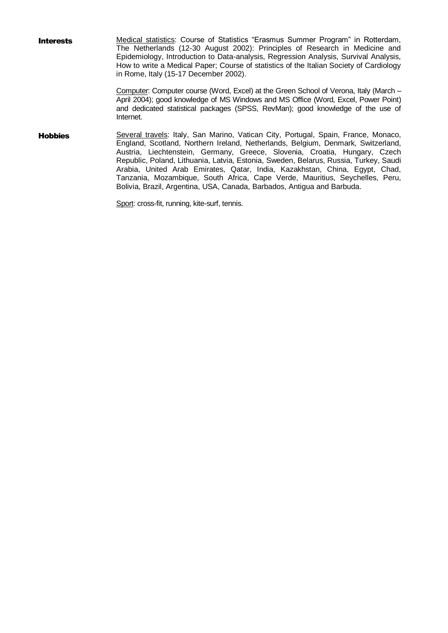**Interests** Medical statistics: Course of Statistics "Erasmus Summer Program" in Rotterdam, The Netherlands (12-30 August 2002): Principles of Research in Medicine and Epidemiology, Introduction to Data-analysis, Regression Analysis, Survival Analysis, How to write a Medical Paper; Course of statistics of the Italian Society of Cardiology in Rome, Italy (15-17 December 2002). Computer: Computer course (Word, Excel) at the Green School of Verona, Italy (March –

April 2004); good knowledge of MS Windows and MS Office (Word, Excel, Power Point) and dedicated statistical packages (SPSS, RevMan); good knowledge of the use of Internet.

Hobbies Several travels: Italy, San Marino, Vatican City, Portugal, Spain, France, Monaco, England, Scotland, Northern Ireland, Netherlands, Belgium, Denmark, Switzerland, Austria, Liechtenstein, Germany, Greece, Slovenia, Croatia, Hungary, Czech Republic, Poland, Lithuania, Latvia, Estonia, Sweden, Belarus, Russia, Turkey, Saudi Arabia, United Arab Emirates, Qatar, India, Kazakhstan, China, Egypt, Chad, Tanzania, Mozambique, South Africa, Cape Verde, Mauritius, Seychelles, Peru, Bolivia, Brazil, Argentina, USA, Canada, Barbados, Antigua and Barbuda.

Sport: cross-fit, running, kite-surf, tennis.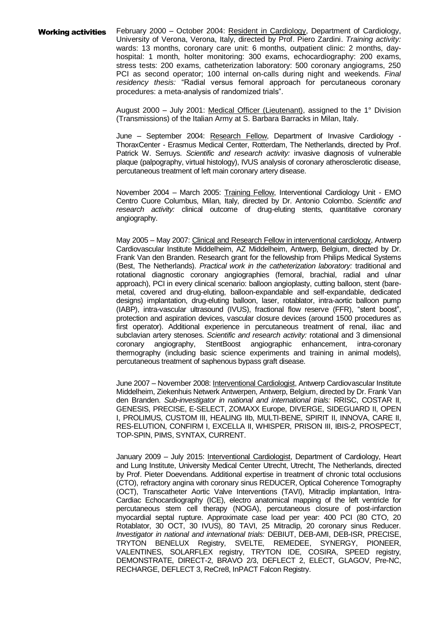Working activities February 2000 - October 2004: Resident in Cardiology, Department of Cardiology, University of Verona, Verona, Italy, directed by Prof. Piero Zardini. *Training activity:* wards: 13 months, coronary care unit: 6 months, outpatient clinic: 2 months, dayhospital: 1 month, holter monitoring: 300 exams, echocardiography: 200 exams, stress tests: 200 exams, catheterization laboratory: 500 coronary angiograms, 250 PCI as second operator; 100 internal on-calls during night and weekends. *Final residency thesis:* "Radial versus femoral approach for percutaneous coronary procedures: a meta-analysis of randomized trials".

> August 2000 – July 2001: Medical Officer (Lieutenant), assigned to the 1° Division (Transmissions) of the Italian Army at S. Barbara Barracks in Milan, Italy.

> June – September 2004: Research Fellow, Department of Invasive Cardiology - ThoraxCenter - Erasmus Medical Center, Rotterdam, The Netherlands, directed by Prof. Patrick W. Serruys. *Scientific and research activity:* invasive diagnosis of vulnerable plaque (palpography, virtual histology), IVUS analysis of coronary atherosclerotic disease, percutaneous treatment of left main coronary artery disease.

> November 2004 – March 2005: Training Fellow, Interventional Cardiology Unit - EMO Centro Cuore Columbus, Milan, Italy, directed by Dr. Antonio Colombo. *Scientific and research activity:* clinical outcome of drug-eluting stents, quantitative coronary angiography.

> May 2005 – May 2007: Clinical and Research Fellow in interventional cardiology, Antwerp Cardiovascular Institute Middelheim, AZ Middelheim, Antwerp, Belgium, directed by Dr. Frank Van den Branden. Research grant for the fellowship from Philips Medical Systems (Best, The Netherlands). *Practical work in the catheterization laboratory:* traditional and rotational diagnostic coronary angiographies (femoral, brachial, radial and ulnar approach), PCI in every clinical scenario: balloon angioplasty, cutting balloon, stent (baremetal, covered and drug-eluting, balloon-expandable and self-expandable, dedicated designs) implantation, drug-eluting balloon, laser, rotablator, intra-aortic balloon pump (IABP), intra-vascular ultrasound (IVUS), fractional flow reserve (FFR), "stent boost", protection and aspiration devices, vascular closure devices (around 1500 procedures as first operator). Additional experience in percutaneous treatment of renal, iliac and subclavian artery stenoses. *Scientific and research activity:* rotational and 3 dimensional StentBoost angiographic enhancement, intra-coronary thermography (including basic science experiments and training in animal models), percutaneous treatment of saphenous bypass graft disease.

> June 2007 – November 2008: Interventional Cardiologist, Antwerp Cardiovascular Institute Middelheim, Ziekenhuis Netwerk Antwerpen, Antwerp, Belgium, directed by Dr. Frank Van den Branden. *Sub-investigator in national and international trials:* RRISC, COSTAR II, GENESIS, PRECISE, E-SELECT, ZOMAXX Europe, DIVERGE, SIDEGUARD II, OPEN I, PROLIMUS, CUSTOM III, HEALING IIb, MULTI-BENE, SPIRIT II, INNOVA, CARE II, RES-ELUTION, CONFIRM I, EXCELLA II, WHISPER, PRISON III, IBIS-2, PROSPECT, TOP-SPIN, PIMS, SYNTAX, CURRENT.

> January 2009 – July 2015: Interventional Cardiologist, Department of Cardiology, Heart and Lung Institute, University Medical Center Utrecht, Utrecht, The Netherlands, directed by Prof. Pieter Doevendans. Additional expertise in treatment of chronic total occlusions (CTO), refractory angina with coronary sinus REDUCER, Optical Coherence Tomography (OCT), Transcatheter Aortic Valve Interventions (TAVI), Mitraclip implantation, Intra-Cardiac Echocardiography (ICE), electro anatomical mapping of the left ventricle for percutaneous stem cell therapy (NOGA), percutaneous closure of post-infarction myocardial septal rupture. Approximate case load per year: 400 PCI (80 CTO, 20 Rotablator, 30 OCT, 30 IVUS), 80 TAVI, 25 Mitraclip, 20 coronary sinus Reducer. *Investigator in national and international trials:* DEBIUT, DEB-AMI, DEB-ISR, PRECISE, TRYTON BENELUX Registry, SVELTE, REMEDEE, SYNERGY, PIONEER, VALENTINES, SOLARFLEX registry, TRYTON IDE, COSIRA, SPEED registry, DEMONSTRATE, DIRECT-2, BRAVO 2/3, DEFLECT 2, ELECT, GLAGOV, Pre-NC, RECHARGE, DEFLECT 3, ReCre8, InPACT Falcon Registry.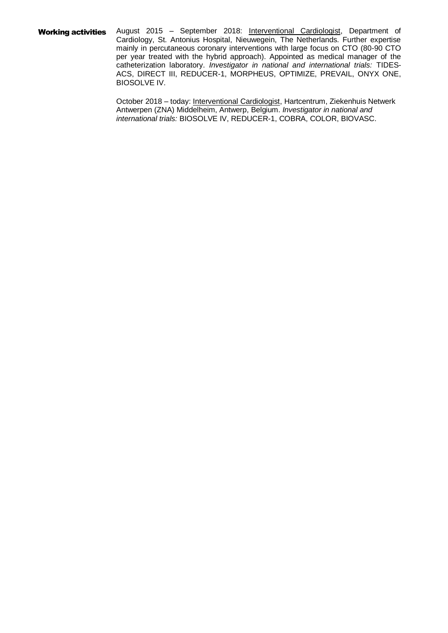Working activities August 2015 - September 2018: Interventional Cardiologist, Department of Cardiology, St. Antonius Hospital, Nieuwegein, The Netherlands. Further expertise mainly in percutaneous coronary interventions with large focus on CTO (80-90 CTO per year treated with the hybrid approach). Appointed as medical manager of the catheterization laboratory. *Investigator in national and international trials:* TIDES-ACS, DIRECT III, REDUCER-1, MORPHEUS, OPTIMIZE, PREVAIL, ONYX ONE, BIOSOLVE IV.

> October 2018 – today: Interventional Cardiologist, Hartcentrum, Ziekenhuis Netwerk Antwerpen (ZNA) Middelheim, Antwerp, Belgium. *Investigator in national and international trials:* BIOSOLVE IV, REDUCER-1, COBRA, COLOR, BIOVASC.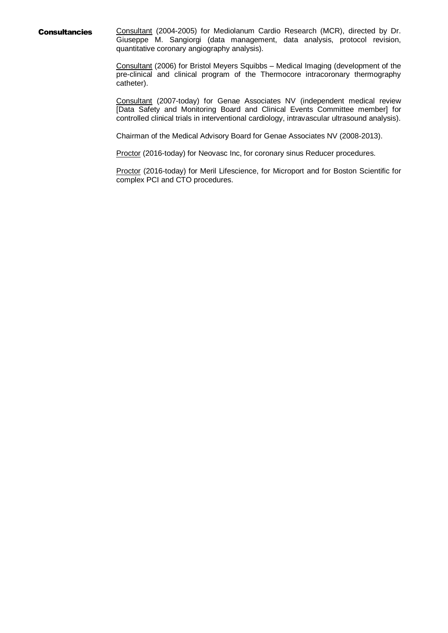**Consultancies** Consultant (2004-2005) for Mediolanum Cardio Research (MCR), directed by Dr. Giuseppe M. Sangiorgi (data management, data analysis, protocol revision, quantitative coronary angiography analysis).

> Consultant (2006) for Bristol Meyers Squibbs – Medical Imaging (development of the pre-clinical and clinical program of the Thermocore intracoronary thermography catheter).

> Consultant (2007-today) for Genae Associates NV (independent medical review [Data Safety and Monitoring Board and Clinical Events Committee member] for controlled clinical trials in interventional cardiology, intravascular ultrasound analysis).

Chairman of the Medical Advisory Board for Genae Associates NV (2008-2013).

Proctor (2016-today) for Neovasc Inc, for coronary sinus Reducer procedures.

Proctor (2016-today) for Meril Lifescience, for Microport and for Boston Scientific for complex PCI and CTO procedures.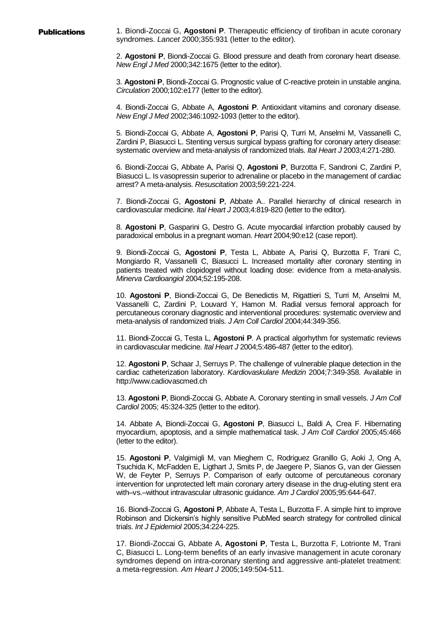**Publications** 1. Biondi-Zoccai G, **Agostoni P**. Therapeutic efficiency of tirofiban in acute coronary syndromes. *Lancet* 2000;355:931 (letter to the editor).

> 2. **Agostoni P**, Biondi-Zoccai G. Blood pressure and death from coronary heart disease. *New Engl J Med* 2000;342:1675 (letter to the editor).

> 3. **Agostoni P**, Biondi-Zoccai G. Prognostic value of C-reactive protein in unstable angina. *Circulation* 2000;102:e177 (letter to the editor).

> 4. Biondi-Zoccai G, Abbate A, **Agostoni P**. Antioxidant vitamins and coronary disease. *New Engl J Med* 2002;346:1092-1093 (letter to the editor).

> 5. Biondi-Zoccai G, Abbate A, **Agostoni P**, Parisi Q, Turri M, Anselmi M, Vassanelli C, Zardini P, Biasucci L. Stenting versus surgical bypass grafting for coronary artery disease: systematic overview and meta-analysis of randomized trials. *Ital Heart J* 2003;4:271-280.

> 6. Biondi-Zoccai G, Abbate A, Parisi Q, **Agostoni P**, Burzotta F, Sandroni C, Zardini P, Biasucci L. Is vasopressin superior to adrenaline or placebo in the management of cardiac arrest? A meta-analysis. *Resuscitation* 2003;59:221-224.

> 7. Biondi-Zoccai G, **Agostoni P**, Abbate A.. Parallel hierarchy of clinical research in cardiovascular medicine. *Ital Heart J* 2003;4:819-820 (letter to the editor).

> 8. **Agostoni P**, Gasparini G, Destro G. Acute myocardial infarction probably caused by paradoxical embolus in a pregnant woman. *Heart* 2004;90:e12 (case report).

> 9. Biondi-Zoccai G, **Agostoni P**, Testa L, Abbate A, Parisi Q, Burzotta F, Trani C, Mongiardo R, Vassanelli C, Biasucci L. Increased mortality after coronary stenting in patients treated with clopidogrel without loading dose: evidence from a meta-analysis. *Minerva Cardioangiol* 2004;52:195-208.

> 10. **Agostoni P**, Biondi-Zoccai G, De Benedictis M, Rigattieri S, Turri M, Anselmi M, Vassanelli C, Zardini P, Louvard Y, Hamon M. Radial versus femoral approach for percutaneous coronary diagnostic and interventional procedures: systematic overview and meta-analysis of randomized trials. *J Am Coll Cardiol* 2004;44:349-356.

> 11. Biondi-Zoccai G, Testa L, **Agostoni P**. A practical algorhythm for systematic reviews in cardiovascular medicine. *Ital Heart J* 2004;5:486-487 (letter to the editor).

> 12. **Agostoni P**, Schaar J, Serruys P. The challenge of vulnerable plaque detection in the cardiac catheterization laboratory. *Kardiovaskulare Medizin* 2004;7:349-358. Available in http://www.cadiovascmed.ch

> 13. **Agostoni P**, Biondi-Zoccai G, Abbate A. Coronary stenting in small vessels. *J Am Coll Cardiol* 2005; 45:324-325 (letter to the editor).

> 14. Abbate A, Biondi-Zoccai G, **Agostoni P**, Biasucci L, Baldi A, Crea F. Hibernating myocardium, apoptosis, and a simple mathematical task. *J Am Coll Cardiol* 2005;45:466 (letter to the editor).

> 15. **Agostoni P**, Valgimigli M, van Mieghem C, Rodriguez Granillo G, Aoki J, Ong A, Tsuchida K, McFadden E, Ligthart J, Smits P, de Jaegere P, Sianos G, van der Giessen W, de Feyter P, Serruys P. Comparison of early outcome of percutaneous coronary intervention for unprotected left main coronary artery disease in the drug-eluting stent era with–vs.–without intravascular ultrasonic guidance. *Am J Cardiol* 2005;95:644-647.

> 16. Biondi-Zoccai G, **Agostoni P**, Abbate A, Testa L, Burzotta F. A simple hint to improve Robinson and Dickersin's highly sensitive PubMed search strategy for controlled clinical trials. *Int J Epidemiol* 2005;34:224-225.

> 17. Biondi-Zoccai G, Abbate A, **Agostoni P**, Testa L, Burzotta F, Lotrionte M, Trani C, Biasucci L. Long-term benefits of an early invasive management in acute coronary syndromes depend on intra-coronary stenting and aggressive anti-platelet treatment: a meta-regression. *Am Heart J* 2005;149:504-511.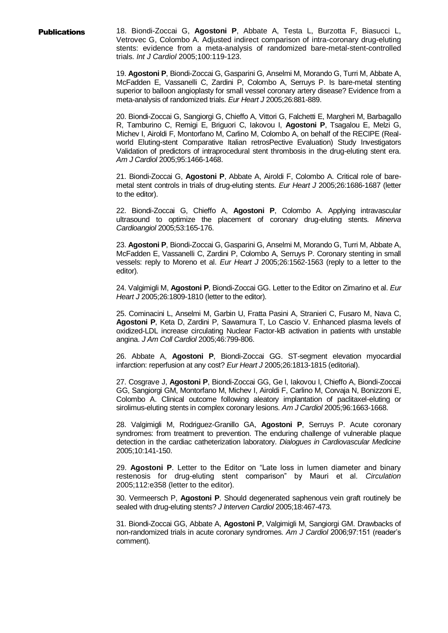**Publications** 18. Biondi-Zoccai G, Agostoni P, Abbate A, Testa L, Burzotta F, Biasucci L, Vetrovec G, Colombo A. Adjusted indirect comparison of intra-coronary drug-eluting stents: evidence from a meta-analysis of randomized bare-metal-stent-controlled trials. *Int J Cardiol* 2005;100:119-123.

> 19. **Agostoni P**, Biondi-Zoccai G, Gasparini G, Anselmi M, Morando G, Turri M, Abbate A, McFadden E, Vassanelli C, Zardini P, Colombo A, Serruys P. Is bare-metal stenting superior to balloon angioplasty for small vessel coronary artery disease? Evidence from a meta-analysis of randomized trials. *Eur Heart J* 2005;26:881-889.

> 20. Biondi-Zoccai G, Sangiorgi G, Chieffo A, Vittori G, Falchetti E, Margheri M, Barbagallo R, Tamburino C, Remigi E, Briguori C, Iakovou I, **Agostoni P**, Tsagalou E, Melzi G, Michev I, Airoldi F, Montorfano M, Carlino M, Colombo A, on behalf of the RECIPE (Realworld Eluting-stent Comparative Italian retrosPective Evaluation) Study Investigators Validation of predictors of intraprocedural stent thrombosis in the drug-eluting stent era. *Am J Cardiol* 2005;95:1466-1468.

> 21. Biondi-Zoccai G, **Agostoni P**, Abbate A, Airoldi F, Colombo A. Critical role of baremetal stent controls in trials of drug-eluting stents. *Eur Heart J* 2005;26:1686-1687 (letter to the editor).

> 22. Biondi-Zoccai G, Chieffo A, **Agostoni P**, Colombo A. Applying intravascular ultrasound to optimize the placement of coronary drug-eluting stents. *Minerva Cardioangiol* 2005;53:165-176.

> 23. **Agostoni P**, Biondi-Zoccai G, Gasparini G, Anselmi M, Morando G, Turri M, Abbate A, McFadden E, Vassanelli C, Zardini P, Colombo A, Serruys P. Coronary stenting in small vessels: reply to Moreno et al. *Eur Heart J* 2005;26:1562-1563 (reply to a letter to the editor).

> 24. Valgimigli M, **Agostoni P**, Biondi-Zoccai GG. Letter to the Editor on Zimarino et al. *Eur Heart J* 2005;26:1809-1810 (letter to the editor).

> 25. Cominacini L, Anselmi M, Garbin U, Fratta Pasini A, Stranieri C, Fusaro M, Nava C, **Agostoni P**, Keta D, Zardini P, Sawamura T, Lo Cascio V. Enhanced plasma levels of oxidized-LDL increase circulating Nuclear Factor-kB activation in patients with unstable angina. *J Am Coll Cardiol* 2005;46:799-806.

> 26. Abbate A, **Agostoni P**, Biondi-Zoccai GG. ST-segment elevation myocardial infarction: reperfusion at any cost? *Eur Heart J* 2005;26:1813-1815 (editorial).

> 27. Cosgrave J, **Agostoni P**, Biondi-Zoccai GG, Ge l, Iakovou I, Chieffo A, Biondi-Zoccai GG, Sangiorgi GM, Montorfano M, Michev I, Airoldi F, Carlino M, Corvaja N, Bonizzoni E, Colombo A. Clinical outcome following aleatory implantation of paclitaxel-eluting or sirolimus-eluting stents in complex coronary lesions. *Am J Cardiol* 2005;96:1663-1668.

> 28. Valgimigli M, Rodriguez-Granillo GA, **Agostoni P**, Serruys P. Acute coronary syndromes: from treatment to prevention. The enduring challenge of vulnerable plaque detection in the cardiac catheterization laboratory. *Dialogues in Cardiovascular Medicine* 2005;10:141-150.

> 29. **Agostoni P**. Letter to the Editor on "Late loss in lumen diameter and binary restenosis for drug-eluting stent comparison" by Mauri et al. *Circulation* 2005;112:e358 (letter to the editor).

> 30. Vermeersch P, **Agostoni P**. Should degenerated saphenous vein graft routinely be sealed with drug-eluting stents? *J Interven Cardiol* 2005;18:467-473.

> 31. Biondi-Zoccai GG, Abbate A, **Agostoni P**, Valgimigli M, Sangiorgi GM. Drawbacks of non-randomized trials in acute coronary syndromes. *Am J Cardiol* 2006;97:151 (reader's comment).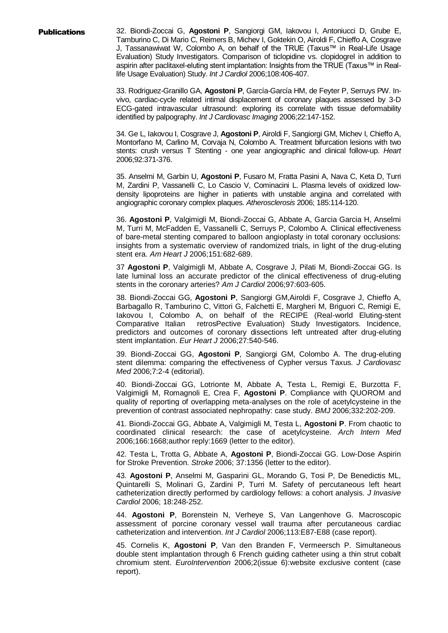Publications 32. Biondi-Zoccai G, **Agostoni P**, Sangiorgi GM, Iakovou I, Antoniucci D, Grube E, Tamburino C, Di Mario C, Reimers B, Michev I, Goktekin O, Airoldi F, Chieffo A, Cosgrave J, Tassanawiwat W, Colombo A, on behalf of the TRUE (Taxus™ in Real-Life Usage Evaluation) Study Investigators. Comparison of ticlopidine vs. clopidogrel in addition to aspirin after paclitaxel-eluting stent implantation: Insights from the TRUE (Taxus™ in Reallife Usage Evaluation) Study. *Int J Cardiol* 2006;108:406-407.

> 33. Rodriguez-Granillo GA, **Agostoni P**, García-García HM, de Feyter P, Serruys PW. Invivo, cardiac-cycle related intimal displacement of coronary plaques assessed by 3-D ECG-gated intravascular ultrasound: exploring its correlate with tissue deformability identified by palpography. *Int J Cardiovasc Imaging* 2006;22:147-152.

> 34. Ge L, Iakovou I, Cosgrave J, **Agostoni P**, Airoldi F, Sangiorgi GM, Michev I, Chieffo A, Montorfano M, Carlino M, Corvaja N, Colombo A. Treatment bifurcation lesions with two stents: crush versus T Stenting - one year angiographic and clinical follow-up. *Heart*  2006;92:371-376.

> 35. Anselmi M, Garbin U, **Agostoni P**, Fusaro M, Fratta Pasini A, Nava C, Keta D, Turri M, Zardini P, Vassanelli C, Lo Cascio V, Cominacini L. Plasma levels of oxidized lowdensity lipoproteins are higher in patients with unstable angina and correlated with angiographic coronary complex plaques. *Atherosclerosis* 2006; 185:114-120.

> 36. **Agostoni P**, Valgimigli M, Biondi-Zoccai G, Abbate A, Garcia Garcia H, Anselmi M, Turri M, McFadden E, Vassanelli C, Serruys P, Colombo A. Clinical effectiveness of bare-metal stenting compared to balloon angioplasty in total coronary occlusions: insights from a systematic overview of randomized trials, in light of the drug-eluting stent era. *Am Heart J* 2006;151:682-689.

> 37 **Agostoni P**, Valgimigli M, Abbate A, Cosgrave J, Pilati M, Biondi-Zoccai GG. Is late luminal loss an accurate predictor of the clinical effectiveness of drug-eluting stents in the coronary arteries? *Am J Cardiol* 2006;97:603-605.

> 38. Biondi-Zoccai GG, **Agostoni P**, Sangiorgi GM,Airoldi F, Cosgrave J, Chieffo A, Barbagallo R, Tamburino C, Vittori G, Falchetti E, Margheri M, Briguori C, Remigi E, Iakovou I, Colombo A, on behalf of the RECIPE (Real-world Eluting-stent Comparative Italian retrosPective Evaluation) Study Investigators. Incidence, predictors and outcomes of coronary dissections left untreated after drug-eluting stent implantation. *Eur Heart J* 2006;27:540-546.

> 39. Biondi-Zoccai GG, **Agostoni P**, Sangiorgi GM, Colombo A. The drug-eluting stent dilemma: comparing the effectiveness of Cypher versus Taxus. *J Cardiovasc Med* 2006;7:2-4 (editorial).

> 40. Biondi-Zoccai GG, Lotrionte M, Abbate A, Testa L, Remigi E, Burzotta F, Valgimigli M, Romagnoli E, Crea F, **Agostoni P**. Compliance with QUOROM and quality of reporting of overlapping meta-analyses on the role of acetylcysteine in the prevention of contrast associated nephropathy: case study. *BMJ* 2006;332:202-209.

> 41. Biondi-Zoccai GG, Abbate A, Valgimigli M, Testa L, **Agostoni P**. From chaotic to coordinated clinical research: the case of acetylcysteine. *Arch Intern Med* 2006;166:1668;author reply:1669 (letter to the editor).

> 42. Testa L, Trotta G, Abbate A, **Agostoni P**, Biondi-Zoccai GG. Low-Dose Aspirin for Stroke Prevention. *Stroke* 2006; 37:1356 (letter to the editor).

> 43. **Agostoni P**, Anselmi M, Gasparini GL, Morando G, Tosi P, De Benedictis ML, Quintarelli S, Molinari G, Zardini P, Turri M. Safety of percutaneous left heart catheterization directly performed by cardiology fellows: a cohort analysis. *J Invasive Cardiol* 2006; 18:248-252.

> 44. **Agostoni P**, Borenstein N, Verheye S, Van Langenhove G. Macroscopic assessment of porcine coronary vessel wall trauma after percutaneous cardiac catheterization and intervention. *Int J Cardiol* 2006;113:E87-E88 (case report).

> 45. Cornelis K, **Agostoni P**, Van den Branden F, Vermeersch P. Simultaneous double stent implantation through 6 French guiding catheter using a thin strut cobalt chromium stent. *EuroIntervention* 2006;2(issue 6):website exclusive content (case report).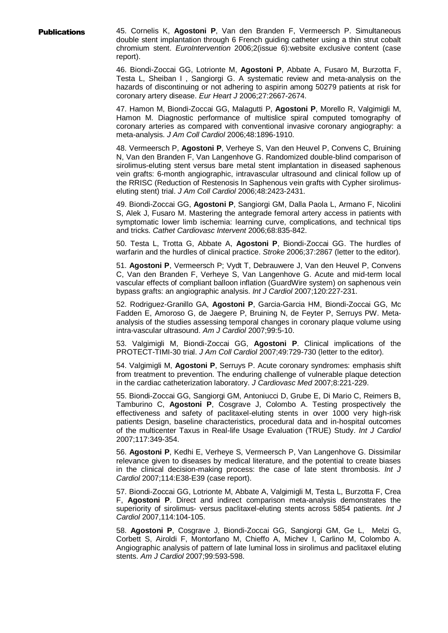**Publications** 45. Cornelis K, Agostoni P, Van den Branden F, Vermeersch P. Simultaneous double stent implantation through 6 French guiding catheter using a thin strut cobalt chromium stent. *EuroIntervention* 2006;2(issue 6):website exclusive content (case report).

> 46. Biondi-Zoccai GG, Lotrionte M, **Agostoni P**, Abbate A, Fusaro M, Burzotta F, Testa L, Sheiban I , Sangiorgi G. A systematic review and meta-analysis on the hazards of discontinuing or not adhering to aspirin among 50279 patients at risk for coronary artery disease. *Eur Heart J* 2006;27:2667-2674.

> 47. Hamon M, Biondi-Zoccai GG, Malagutti P, **Agostoni P**, Morello R, Valgimigli M, Hamon M. Diagnostic performance of multislice spiral computed tomography of coronary arteries as compared with conventional invasive coronary angiography: a meta-analysis. *J Am Coll Cardiol* 2006;48:1896-1910.

> 48. Vermeersch P, **Agostoni P**, Verheye S, Van den Heuvel P, Convens C, Bruining N, Van den Branden F, Van Langenhove G. Randomized double-blind comparison of sirolimus-eluting stent versus bare metal stent implantation in diseased saphenous vein grafts: 6-month angiographic, intravascular ultrasound and clinical follow up of the RRISC (Reduction of Restenosis In Saphenous vein grafts with Cypher sirolimuseluting stent) trial. *J Am Coll Cardiol* 2006;48:2423-2431.

> 49. Biondi-Zoccai GG, **Agostoni P**, Sangiorgi GM, Dalla Paola L, Armano F, Nicolini S, Alek J, Fusaro M. Mastering the antegrade femoral artery access in patients with symptomatic lower limb ischemia: learning curve, complications, and technical tips and tricks. *Cathet Cardiovasc Intervent* 2006;68:835-842.

> 50. Testa L, Trotta G, Abbate A, **Agostoni P**, Biondi-Zoccai GG. The hurdles of warfarin and the hurdles of clinical practice. *Stroke* 2006;37:2867 (letter to the editor).

> 51. **Agostoni P**, Vermeersch P; Vydt T, Debrauwere J, Van den Heuvel P, Convens C, Van den Branden F, Verheye S, Van Langenhove G. Acute and mid-term local vascular effects of compliant balloon inflation (GuardWire system) on saphenous vein bypass grafts: an angiographic analysis. *Int J Cardiol* 2007;120:227-231.

> 52. Rodriguez-Granillo GA, **Agostoni P**, Garcia-Garcia HM, Biondi-Zoccai GG, Mc Fadden E, Amoroso G, de Jaegere P, Bruining N, de Feyter P, Serruys PW. Metaanalysis of the studies assessing temporal changes in coronary plaque volume using intra-vascular ultrasound. *Am J Cardiol* 2007;99:5-10.

> 53. Valgimigli M, Biondi-Zoccai GG, **Agostoni P**. Clinical implications of the PROTECT-TIMI-30 trial. *J Am Coll Cardiol* 2007;49:729-730 (letter to the editor).

> 54. Valgimigli M, **Agostoni P**, Serruys P. Acute coronary syndromes: emphasis shift from treatment to prevention. The enduring challenge of vulnerable plaque detection in the cardiac catheterization laboratory. *J Cardiovasc Med* 2007;8:221-229.

> 55. Biondi-Zoccai GG, Sangiorgi GM, Antoniucci D, Grube E, Di Mario C, Reimers B, Tamburino C, **Agostoni P**, Cosgrave J, Colombo A. Testing prospectively the effectiveness and safety of paclitaxel-eluting stents in over 1000 very high-risk patients Design, baseline characteristics, procedural data and in-hospital outcomes of the multicenter Taxus in Real-life Usage Evaluation (TRUE) Study. *Int J Cardiol* 2007;117:349-354.

> 56. **Agostoni P**, Kedhi E, Verheye S, Vermeersch P, Van Langenhove G. Dissimilar relevance given to diseases by medical literature, and the potential to create biases in the clinical decision-making process: the case of late stent thrombosis. *Int J Cardiol* 2007;114:E38-E39 (case report).

> 57. Biondi-Zoccai GG, Lotrionte M, Abbate A, Valgimigli M, Testa L, Burzotta F, Crea F, **Agostoni P**. Direct and indirect comparison meta-analysis demonstrates the superiority of sirolimus- versus paclitaxel-eluting stents across 5854 patients. *Int J Cardiol* 2007,114:104-105.

> 58. **Agostoni P**, Cosgrave J, Biondi-Zoccai GG, Sangiorgi GM, Ge L, Melzi G, Corbett S, Airoldi F, Montorfano M, Chieffo A, Michev I, Carlino M, Colombo A. Angiographic analysis of pattern of late luminal loss in sirolimus and paclitaxel eluting stents. *Am J Cardiol* 2007;99:593-598.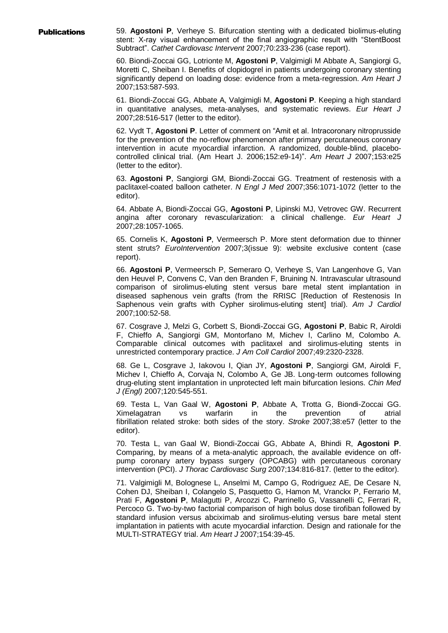Publications 59. **Agostoni P**, Verheye S. Bifurcation stenting with a dedicated biolimus-eluting stent: X-ray visual enhancement of the final angiographic result with "StentBoost Subtract". *Cathet Cardiovasc Intervent* 2007;70:233-236 (case report).

> 60. Biondi-Zoccai GG, Lotrionte M, **Agostoni P**, Valgimigli M Abbate A, Sangiorgi G, Moretti C, Sheiban I. Benefits of clopidogrel in patients undergoing coronary stenting significantly depend on loading dose: evidence from a meta-regression. *Am Heart J* 2007;153:587-593.

> 61. Biondi-Zoccai GG, Abbate A, Valgimigli M, **Agostoni P**. Keeping a high standard in quantitative analyses, meta-analyses, and systematic reviews. *Eur Heart J* 2007;28:516-517 (letter to the editor).

> 62. Vydt T, **Agostoni P**. Letter of comment on "Amit et al. Intracoronary nitroprusside for the prevention of the no-reflow phenomenon after primary percutaneous coronary intervention in acute myocardial infarction. A randomized, double-blind, placebocontrolled clinical trial. (Am Heart J. 2006;152:e9-14)". *Am Heart J* 2007;153:e25 (letter to the editor).

> 63. **Agostoni P**, Sangiorgi GM, Biondi-Zoccai GG. Treatment of restenosis with a paclitaxel-coated balloon catheter. *N Engl J Med* 2007;356:1071-1072 (letter to the editor).

> 64. Abbate A, Biondi-Zoccai GG, **Agostoni P**, Lipinski MJ, Vetrovec GW. Recurrent angina after coronary revascularization: a clinical challenge. *Eur Heart J*  2007;28:1057-1065.

> 65. Cornelis K, **Agostoni P**, Vermeersch P. More stent deformation due to thinner stent struts? *EuroIntervention* 2007;3(issue 9): website exclusive content (case report).

> 66. **Agostoni P**, Vermeersch P, Semeraro O, Verheye S, Van Langenhove G, Van den Heuvel P, Convens C, Van den Branden F, Bruining N. Intravascular ultrasound comparison of sirolimus-eluting stent versus bare metal stent implantation in diseased saphenous vein grafts (from the RRISC [Reduction of Restenosis In Saphenous vein grafts with Cypher sirolimus-eluting stent] trial). *Am J Cardiol* 2007;100:52-58.

> 67. Cosgrave J, Melzi G, Corbett S, Biondi-Zoccai GG, **Agostoni P**, Babic R, Airoldi F, Chieffo A, Sangiorgi GM, Montorfano M, Michev I, Carlino M, Colombo A. Comparable clinical outcomes with paclitaxel and sirolimus-eluting stents in unrestricted contemporary practice. *J Am Coll Cardiol* 2007;49:2320-2328.

> 68. Ge L, Cosgrave J, Iakovou I, Qian JY, **Agostoni P**, Sangiorgi GM, Airoldi F, Michev I, Chieffo A, Corvaja N, Colombo A, Ge JB. Long-term outcomes following drug-eluting stent implantation in unprotected left main bifurcation lesions. *Chin Med J (Engl)* 2007;120:545-551.

> 69. Testa L, Van Gaal W, **Agostoni P**, Abbate A, Trotta G, Biondi-Zoccai GG. Ximelagatran vs warfarin in the prevention of atrial fibrillation related stroke: both sides of the story. *Stroke* 2007;38:e57 (letter to the editor).

> 70. Testa L, van Gaal W, Biondi-Zoccai GG, Abbate A, Bhindi R, **Agostoni P**. Comparing, by means of a meta-analytic approach, the available evidence on offpump coronary artery bypass surgery (OPCABG) with percutaneous coronary intervention (PCI). *J Thorac Cardiovasc Surg* 2007;134:816-817. (letter to the editor).

> 71. Valgimigli M, Bolognese L, Anselmi M, Campo G, Rodriguez AE, De Cesare N, Cohen DJ, Sheiban I, Colangelo S, Pasquetto G, Hamon M, Vranckx P, Ferrario M, Prati F, **Agostoni P**, Malagutti P, Arcozzi C, Parrinello G, Vassanelli C, Ferrari R, Percoco G. Two-by-two factorial comparison of high bolus dose tirofiban followed by standard infusion versus abciximab and sirolimus-eluting versus bare metal stent implantation in patients with acute myocardial infarction. Design and rationale for the MULTI-STRATEGY trial. *Am Heart J* 2007;154:39-45.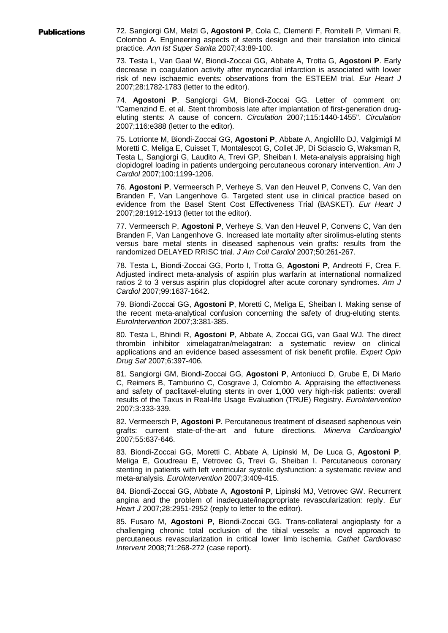Publications 72. Sangiorgi GM, Melzi G, **Agostoni P**, Cola C, Clementi F, Romitelli P, Virmani R, Colombo A. Engineering aspects of stents design and their translation into clinical practice. *Ann Ist Super Sanita* 2007;43:89-100.

> 73. Testa L, Van Gaal W, Biondi-Zoccai GG, Abbate A, Trotta G, **Agostoni P**. Early decrease in coagulation activity after myocardial infarction is associated with lower risk of new ischaemic events: observations from the ESTEEM trial. *Eur Heart J* 2007;28:1782-1783 (letter to the editor).

> 74. **Agostoni P**, Sangiorgi GM, Biondi-Zoccai GG. Letter of comment on: "Camenzind E. et al. Stent thrombosis late after implantation of first-generation drugeluting stents: A cause of concern. *Circulation* 2007;115:1440-1455". *Circulation* 2007;116:e388 (letter to the editor).

> 75. Lotrionte M, Biondi-Zoccai GG, **Agostoni P**, Abbate A, Angiolillo DJ, Valgimigli M Moretti C, Meliga E, Cuisset T, Montalescot G, Collet JP, Di Sciascio G, Waksman R, Testa L, Sangiorgi G, Laudito A, Trevi GP, Sheiban I. Meta-analysis appraising high clopidogrel loading in patients undergoing percutaneous coronary intervention. *Am J Cardiol* 2007;100:1199-1206.

> 76. **Agostoni P**, Vermeersch P, Verheye S, Van den Heuvel P, Convens C, Van den Branden F, Van Langenhove G. Targeted stent use in clinical practice based on evidence from the Basel Stent Cost Effectiveness Trial (BASKET). *Eur Heart J* 2007;28:1912-1913 (letter tot the editor).

> 77. Vermeersch P, **Agostoni P**, Verheye S, Van den Heuvel P, Convens C, Van den Branden F, Van Langenhove G. Increased late mortality after sirolimus-eluting stents versus bare metal stents in diseased saphenous vein grafts: results from the randomized DELAYED RRISC trial. *J Am Coll Cardiol* 2007;50:261-267.

> 78. Testa L, Biondi-Zoccai GG, Porto I, Trotta G, **Agostoni P**, Andreotti F, Crea F. Adjusted indirect meta-analysis of aspirin plus warfarin at international normalized ratios 2 to 3 versus aspirin plus clopidogrel after acute coronary syndromes. *Am J Cardiol* 2007;99:1637-1642.

> 79. Biondi-Zoccai GG, **Agostoni P**, Moretti C, Meliga E, Sheiban I. Making sense of the recent meta-analytical confusion concerning the safety of drug-eluting stents. *EuroIntervention* 2007;3:381-385.

> 80. Testa L, Bhindi R, **Agostoni P**, Abbate A, Zoccai GG, van Gaal WJ. The direct thrombin inhibitor ximelagatran/melagatran: a systematic review on clinical applications and an evidence based assessment of risk benefit profile. *Expert Opin Drug Saf* 2007;6:397-406.

> 81. Sangiorgi GM, Biondi-Zoccai GG, **Agostoni P**, Antoniucci D, Grube E, Di Mario C, Reimers B, Tamburino C, Cosgrave J, Colombo A. Appraising the effectiveness and safety of paclitaxel-eluting stents in over 1,000 very high-risk patients: overall results of the Taxus in Real-life Usage Evaluation (TRUE) Registry. *EuroIntervention* 2007;3:333-339.

> 82. Vermeersch P, **Agostoni P**. Percutaneous treatment of diseased saphenous vein grafts: current state-of-the-art and future directions. *Minerva Cardioangiol* 2007;55:637-646.

> 83. Biondi-Zoccai GG, Moretti C, Abbate A, Lipinski M, De Luca G, **Agostoni P**, Meliga E, Goudreau E, Vetrovec G, Trevi G, Sheiban I. Percutaneous coronary stenting in patients with left ventricular systolic dysfunction: a systematic review and meta-analysis. *EuroIntervention* 2007;3:409-415.

> 84. Biondi-Zoccai GG, Abbate A, **Agostoni P**, Lipinski MJ, Vetrovec GW. Recurrent angina and the problem of inadequate/inappropriate revascularization: reply. *Eur Heart J* 2007;28:2951-2952 (reply to letter to the editor).

> 85. Fusaro M, **Agostoni P**, Biondi-Zoccai GG. Trans-collateral angioplasty for a challenging chronic total occlusion of the tibial vessels: a novel approach to percutaneous revascularization in critical lower limb ischemia. *Cathet Cardiovasc Intervent* 2008;71:268-272 (case report).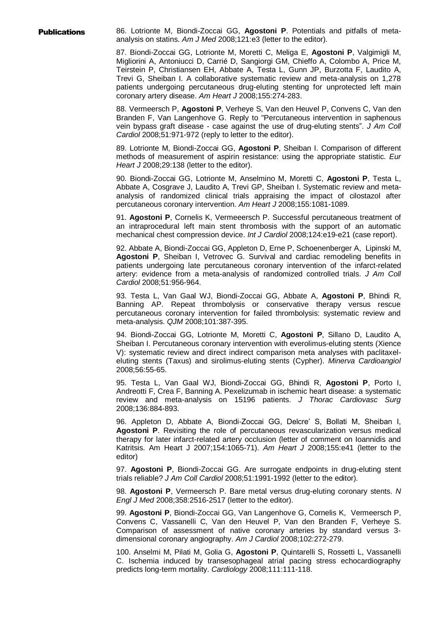**Publications** 86. Lotrionte M, Biondi-Zoccai GG, Agostoni P. Potentials and pitfalls of metaanalysis on statins. *Am J Med* 2008;121:e3 (letter to the editor).

> 87. Biondi-Zoccai GG, Lotrionte M, Moretti C, Meliga E, **Agostoni P**, Valgimigli M, Migliorini A, Antoniucci D, Carrié D, Sangiorgi GM, Chieffo A, Colombo A, Price M, Teirstein P, Christiansen EH, Abbate A, Testa L, Gunn JP, Burzotta F, Laudito A, Trevi G, Sheiban I. A collaborative systematic review and meta-analysis on 1,278 patients undergoing percutaneous drug-eluting stenting for unprotected left main coronary artery disease. *Am Heart J* 2008;155:274-283.

> 88. Vermeersch P, **Agostoni P**, Verheye S, Van den Heuvel P, Convens C, Van den Branden F, Van Langenhove G. Reply to "Percutaneous intervention in saphenous vein bypass graft disease - case against the use of drug-eluting stents". *J Am Coll Cardiol* 2008;51:971-972 (reply to letter to the editor).

> 89. Lotrionte M, Biondi-Zoccai GG, **Agostoni P**, Sheiban I. Comparison of different methods of measurement of aspirin resistance: using the appropriate statistic. *Eur Heart J* 2008;29:138 (letter to the editor).

> 90. Biondi-Zoccai GG, Lotrionte M, Anselmino M, Moretti C, **Agostoni P**, Testa L, Abbate A, Cosgrave J, Laudito A, Trevi GP, Sheiban I. Systematic review and metaanalysis of randomized clinical trials appraising the impact of cilostazol after percutaneous coronary intervention. *Am Heart J* 2008;155:1081-1089.

> 91. **Agostoni P**, Cornelis K, Vermeeersch P. Successful percutaneous treatment of an intraprocedural left main stent thrombosis with the support of an automatic mechanical chest compression device. *Int J Cardiol* 2008;124:e19-e21 (case report).

> 92. Abbate A, Biondi-Zoccai GG, Appleton D, Erne P, Schoenenberger A, Lipinski M, **Agostoni P**, Sheiban I, Vetrovec G. Survival and cardiac remodeling benefits in patients undergoing late percutaneous coronary intervention of the infarct-related artery: evidence from a meta-analysis of randomized controlled trials. *J Am Coll Cardiol* 2008;51:956-964.

> 93. Testa L, Van Gaal WJ, Biondi-Zoccai GG, Abbate A, **Agostoni P**, Bhindi R, Banning AP. Repeat thrombolysis or conservative therapy versus rescue percutaneous coronary intervention for failed thrombolysis: systematic review and meta-analysis. *QJM* 2008;101:387-395.

> 94. Biondi-Zoccai GG, Lotrionte M, Moretti C, **Agostoni P**, Sillano D, Laudito A, Sheiban I. Percutaneous coronary intervention with everolimus-eluting stents (Xience V): systematic review and direct indirect comparison meta analyses with paclitaxeleluting stents (Taxus) and sirolimus-eluting stents (Cypher). *Minerva Cardioangiol* 2008;56:55-65.

> 95. Testa L, Van Gaal WJ, Biondi-Zoccai GG, Bhindi R, **Agostoni P**, Porto I, Andreotti F, Crea F, Banning A. Pexelizumab in ischemic heart disease: a systematic review and meta-analysis on 15196 patients. *J Thorac Cardiovasc Surg* 2008;136:884-893.

> 96. Appleton D, Abbate A, Biondi-Zoccai GG, Delcre' S, Bollati M, Sheiban I, **Agostoni P**. Revisiting the role of percutaneous revascularization versus medical therapy for later infarct-related artery occlusion (letter of comment on Ioannidis and Katritsis. Am Heart J 2007;154:1065-71). *Am Heart J* 2008;155:e41 (letter to the editor)

> 97. **Agostoni P**, Biondi-Zoccai GG. Are surrogate endpoints in drug-eluting stent trials reliable? *J Am Coll Cardiol* 2008;51:1991-1992 (letter to the editor).

> 98. **Agostoni P**, Vermeersch P. Bare metal versus drug-eluting coronary stents. *N Engl J Med* 2008;358:2516-2517 (letter to the editor).

> 99. **Agostoni P**, Biondi-Zoccai GG, Van Langenhove G, Cornelis K, Vermeersch P, Convens C, Vassanelli C, Van den Heuvel P, Van den Branden F, Verheye S. Comparison of assessment of native coronary arteries by standard versus 3 dimensional coronary angiography. *Am J Cardiol* 2008;102:272-279.

> 100. Anselmi M, Pilati M, Golia G, **Agostoni P**, Quintarelli S, Rossetti L, Vassanelli C. Ischemia induced by transesophageal atrial pacing stress echocardiography predicts long-term mortality. *Cardiology* 2008;111:111-118.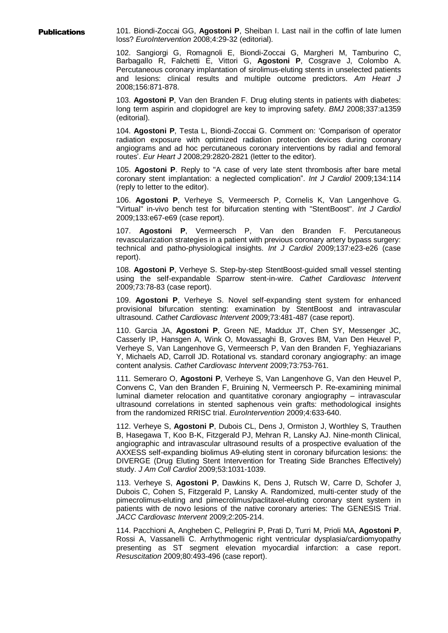Publications 101. Biondi-Zoccai GG, **Agostoni P**, Sheiban I. Last nail in the coffin of late lumen loss? *EuroIntervention* 2008;4:29-32 (editorial).

> 102. Sangiorgi G, Romagnoli E, Biondi-Zoccai G, Margheri M, Tamburino C, Barbagallo R, Falchetti E, Vittori G, **Agostoni P**, Cosgrave J, Colombo A. Percutaneous coronary implantation of sirolimus-eluting stents in unselected patients and lesions: clinical results and multiple outcome predictors. *Am Heart J*  2008;156:871-878.

> 103. **Agostoni P**, Van den Branden F. Drug eluting stents in patients with diabetes: long term aspirin and clopidogrel are key to improving safety. *BMJ* 2008;337:a1359 (editorial).

> 104. **Agostoni P**, Testa L, Biondi-Zoccai G. Comment on: 'Comparison of operator radiation exposure with optimized radiation protection devices during coronary angiograms and ad hoc percutaneous coronary interventions by radial and femoral routes'. *Eur Heart J* 2008;29:2820-2821 (letter to the editor).

> 105. **Agostoni P**. Reply to "A case of very late stent thrombosis after bare metal coronary stent implantation: a neglected complication". *Int J Cardiol* 2009;134:114 (reply to letter to the editor).

> 106. **Agostoni P**, Verheye S, Vermeersch P, Cornelis K, Van Langenhove G. "Virtual" in-vivo bench test for bifurcation stenting with "StentBoost". *Int J Cardiol*  2009;133:e67-e69 (case report).

> 107. **Agostoni P**, Vermeersch P, Van den Branden F. Percutaneous revascularization strategies in a patient with previous coronary artery bypass surgery: technical and patho-physiological insights. *Int J Cardiol* 2009;137:e23-e26 (case report).

> 108. **Agostoni P**, Verheye S. Step-by-step StentBoost-guided small vessel stenting using the self-expandable Sparrow stent-in-wire. *Cathet Cardiovasc Intervent*  2009;73:78-83 (case report).

> 109. **Agostoni P**, Verheye S. Novel self-expanding stent system for enhanced provisional bifurcation stenting: examination by StentBoost and intravascular ultrasound. *Cathet Cardiovasc Intervent* 2009;73:481-487 (case report).

> 110. Garcia JA, **Agostoni P**, Green NE, Maddux JT, Chen SY, Messenger JC, Casserly IP, Hansgen A, Wink O, Movassaghi B, Groves BM, Van Den Heuvel P, Verheye S, Van Langenhove G, Vermeersch P, Van den Branden F, Yeghiazarians Y, Michaels AD, Carroll JD. Rotational vs. standard coronary angiography: an image content analysis. *Cathet Cardiovasc Intervent* 2009;73:753-761.

> 111. Semeraro O, **Agostoni P**, Verheye S, Van Langenhove G, Van den Heuvel P, Convens C, Van den Branden F, Bruining N, Vermeersch P. Re-examining minimal luminal diameter relocation and quantitative coronary angiography – intravascular ultrasound correlations in stented saphenous vein grafts: methodological insights from the randomized RRISC trial. *EuroIntervention* 2009;4:633-640.

> 112. Verheye S, **Agostoni P**, Dubois CL, Dens J, Ormiston J, Worthley S, Trauthen B, Hasegawa T, Koo B-K, Fitzgerald PJ, Mehran R, Lansky AJ. Nine-month Clinical, angiographic and intravascular ultrasound results of a prospective evaluation of the AXXESS self-expanding biolimus A9-eluting stent in coronary bifurcation lesions: the DIVERGE (Drug Eluting Stent Intervention for Treating Side Branches Effectively) study. *J Am Coll Cardiol* 2009;53:1031-1039.

> 113. Verheye S, **Agostoni P**, Dawkins K, Dens J, Rutsch W, Carre D, Schofer J, Dubois C, Cohen S, Fitzgerald P, Lansky A. Randomized, multi-center study of the pimecrolimus-eluting and pimecrolimus/paclitaxel-eluting coronary stent system in patients with de novo lesions of the native coronary arteries: The GENESIS Trial. *JACC Cardiovasc Intervent* 2009;2:205-214.

> 114. Pacchioni A, Angheben C, Pellegrini P, Prati D, Turri M, Prioli MA, **Agostoni P**, Rossi A, Vassanelli C. Arrhythmogenic right ventricular dysplasia/cardiomyopathy presenting as ST segment elevation myocardial infarction: a case report. *Resuscitation* 2009;80:493-496 (case report).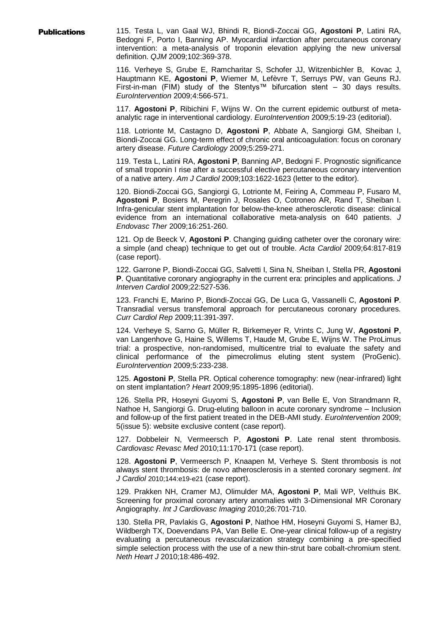Publications 115. Testa L, van Gaal WJ, Bhindi R, Biondi-Zoccai GG, **Agostoni P**, Latini RA, Bedogni F, Porto I, Banning AP. Myocardial infarction after percutaneous coronary intervention: a meta-analysis of troponin elevation applying the new universal definition. *QJM* 2009;102:369-378.

> 116. Verheye S, Grube E, Ramcharitar S, Schofer JJ, Witzenbichler B, Kovac J, Hauptmann KE, **Agostoni P**, Wiemer M, Lefèvre T, Serruys PW, van Geuns RJ. First-in-man (FIM) study of the Stentys™ bifurcation stent – 30 days results. *EuroIntervention* 2009;4:566-571.

> 117. **Agostoni P**, Ribichini F, Wijns W. On the current epidemic outburst of metaanalytic rage in interventional cardiology. *EuroIntervention* 2009;5:19-23 (editorial).

> 118. Lotrionte M, Castagno D, **Agostoni P**, Abbate A, Sangiorgi GM, Sheiban I, Biondi-Zoccai GG. Long-term effect of chronic oral anticoagulation: focus on coronary artery disease. *Future Cardiology* 2009;5:259-271.

> 119. Testa L, Latini RA, **Agostoni P**, Banning AP, Bedogni F. Prognostic significance of small troponin I rise after a successful elective percutaneous coronary intervention of a native artery. *Am J Cardiol* 2009;103:1622-1623 (letter to the editor).

> 120. Biondi-Zoccai GG, Sangiorgi G, Lotrionte M, Feiring A, Commeau P, Fusaro M, **Agostoni P**, Bosiers M, Peregrin J, Rosales O, Cotroneo AR, Rand T, Sheiban I. Infra-genicular stent implantation for below-the-knee atherosclerotic disease: clinical evidence from an international collaborative meta-analysis on 640 patients. *J Endovasc Ther* 2009;16:251-260.

> 121. Op de Beeck V, **Agostoni P**. Changing guiding catheter over the coronary wire: a simple (and cheap) technique to get out of trouble. *Acta Cardiol* 2009;64:817-819 (case report).

> 122. Garrone P, Biondi-Zoccai GG, Salvetti I, Sina N, Sheiban I, Stella PR, **Agostoni P**. Quantitative coronary angiography in the current era: principles and applications. *J Interven Cardiol* 2009;22:527-536.

> 123. Franchi E, Marino P, Biondi-Zoccai GG, De Luca G, Vassanelli C, **Agostoni P**. Transradial versus transfemoral approach for percutaneous coronary procedures. *Curr Cardiol Rep* 2009;11:391-397.

> 124. Verheye S, Sarno G, Müller R, Birkemeyer R, Vrints C, Jung W, **Agostoni P**, van Langenhove G, Haine S, Willems T, Haude M, Grube E, Wijns W. The ProLimus trial: a prospective, non-randomised, multicentre trial to evaluate the safety and clinical performance of the pimecrolimus eluting stent system (ProGenic). *EuroIntervention* 2009;5:233-238.

> 125. **Agostoni P**, Stella PR. Optical coherence tomography: new (near-infrared) light on stent implantation? *Heart* 2009;95:1895-1896 (editorial).

> 126. Stella PR, Hoseyni Guyomi S, **Agostoni P**, van Belle E, Von Strandmann R, Nathoe H, Sangiorgi G. Drug-eluting balloon in acute coronary syndrome – Inclusion and follow-up of the first patient treated in the DEB-AMI study. *EuroIntervention* 2009; 5(issue 5): website exclusive content (case report).

> 127. Dobbeleir N, Vermeersch P, **Agostoni P**. Late renal stent thrombosis. *Cardiovasc Revasc Med* 2010;11:170-171 (case report).

> 128. **Agostoni P**, Vermeersch P, Knaapen M, Verheye S. Stent thrombosis is not always stent thrombosis: de novo atherosclerosis in a stented coronary segment. *Int J Cardiol* 2010;144:e19-e21 (case report).

> 129. Prakken NH, Cramer MJ, Olimulder MA, **Agostoni P**, Mali WP, Velthuis BK. Screening for proximal coronary artery anomalies with 3-Dimensional MR Coronary Angiography. *Int J Cardiovasc Imaging* 2010;26:701-710.

> 130. Stella PR, Pavlakis G, **Agostoni P**, Nathoe HM, Hoseyni Guyomi S, Hamer BJ, Wildbergh TX, Doevendans PA, Van Belle E. One-year clinical follow-up of a registry evaluating a percutaneous revascularization strategy combining a pre-specified simple selection process with the use of a new thin-strut bare cobalt-chromium stent. *Neth Heart J* 2010;18:486-492.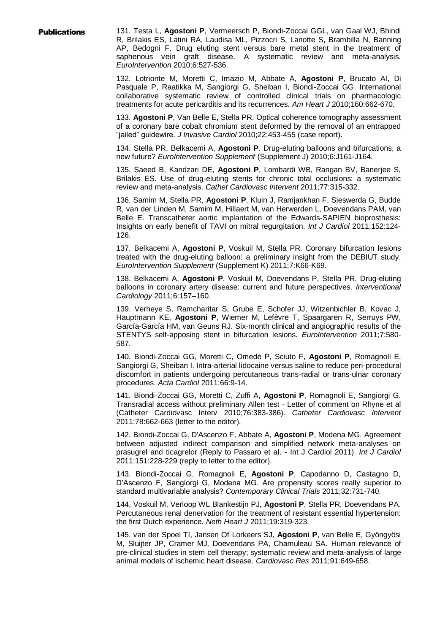**Publications** 131. Testa L, Agostoni P, Vermeersch P, Biondi-Zoccai GGL, van Gaal WJ, Bhindi R, Brilakis ES, Latini RA, Laudisa ML, Pizzocri S, Lanotte S, Brambilla N, Banning AP, Bedogni F. Drug eluting stent versus bare metal stent in the treatment of saphenous vein graft disease. A systematic review and meta-analysis. *EuroIntervention* 2010;6:527-536.

> 132. Lotrionte M, Moretti C, Imazio M, Abbate A, **Agostoni P**, Brucato AI, Di Pasquale P, Raatikka M, Sangiorgi G, Sheiban I, Biondi-Zoccai GG. International collaborative systematic review of controlled clinical trials on pharmacologic treatments for acute pericarditis and its recurrences. *Am Heart J* 2010;160:662-670.

> 133. **Agostoni P**, Van Belle E, Stella PR. Optical coherence tomography assessment of a coronary bare cobalt chromium stent deformed by the removal of an entrapped "jailed" guidewire. *J Invasive Cardiol* 2010;22:453-455 (case report).

> 134. Stella PR, Belkacemi A, **Agostoni P**. Drug-eluting balloons and bifurcations, a new future? *EuroIntervention Supplement* (Supplement J) 2010;6:J161-J164.

> 135. Saeed B, Kandzari DE, **Agostoni P**, Lombardi WB, Rangan BV, Banerjee S, Brilakis ES. Use of drug-eluting stents for chronic total occlusions: a systematic review and meta-analysis. *Cathet Cardiovasc Intervent* 2011;77:315-332.

> 136. Samim M, Stella PR, **Agostoni P**, Kluin J, Ramjankhan F, Sieswerda G, Budde R, van der Linden M, Samim M, Hillaert M, van Herwerden L, Doevendans PAM, van Belle E. Transcatheter aortic implantation of the Edwards-SAPIEN bioprosthesis: Insights on early benefit of TAVI on mitral regurgitation. *Int J Cardiol* 2011;152:124- 126.

> 137. Belkacemi A, **Agostoni P**, Voskuil M, Stella PR. Coronary bifurcation lesions treated with the drug-eluting balloon: a preliminary insight from the DEBIUT study. *EuroIntervention Supplement* (Supplement K) 2011;7:K66-K69.

> 138. Belkacemi A, **Agostoni P**, Voskuil M, Doevendans P, Stella PR. Drug-eluting balloons in coronary artery disease: current and future perspectives. *Interventional Cardiology* 2011;6:157–160.

> 139. Verheye S, Ramcharitar S, Grube E, Schofer JJ, Witzenbichler B, Kovac J, Hauptmann KE, **Agostoni P**, Wiemer M, Lefèvre T, Spaargaren R, Serruys PW, García-García HM, van Geuns RJ. Six-month clinical and angiographic results of the STENTYS self-apposing stent in bifurcation lesions. *EuroIntervention* 2011;7:580- 587.

> 140. Biondi-Zoccai GG, Moretti C, Omedè P, Sciuto F, **Agostoni P**, Romagnoli E, Sangiorgi G, Sheiban I. Intra-arterial lidocaine versus saline to reduce peri-procedural discomfort in patients undergoing percutaneous trans-radial or trans-ulnar coronary procedures. *Acta Cardiol* 2011;66:9-14.

> 141. Biondi-Zoccai GG, Moretti C, Zuffi A, **Agostoni P**, Romagnoli E, Sangiorgi G. Transradial access without preliminary Allen test - Letter of comment on Rhyne et al (Catheter Cardiovasc Interv 2010;76:383-386). *Catheter Cardiovasc Intervent* 2011;78:662-663 (letter to the editor).

> 142. Biondi-Zoccai G, D'Ascenzo F, Abbate A, **Agostoni P**, Modena MG. Agreement between adjusted indirect comparison and simplified network meta-analyses on prasugrel and ticagrelor (Reply to Passaro et al. - Int J Cardiol 2011). *Int J Cardiol* 2011;151:228-229 (reply to letter to the editor).

> 143. Biondi-Zoccai G, Romagnoli E, **Agostoni P**, Capodanno D, Castagno D, D'Ascenzo F, Sangiorgi G, Modena MG. Are propensity scores really superior to standard multivariable analysis? *Contemporary Clinical Trials* 2011;32:731-740.

> 144. Voskuil M, Verloop WL Blankestijn PJ, **Agostoni P**, Stella PR, Doevendans PA. Percutaneous renal denervation for the treatment of resistant essential hypertension: the first Dutch experience. *Neth Heart J* 2011;19:319-323.

> 145. van der Spoel TI, Jansen Of Lorkeers SJ, **Agostoni P**, van Belle E, Gyöngyösi M, Sluijter JP, Cramer MJ, Doevendans PA, Chamuleau SA. Human relevance of pre-clinical studies in stem cell therapy; systematic review and meta-analysis of large animal models of ischemic heart disease. *Cardiovasc Res* 2011;91:649-658.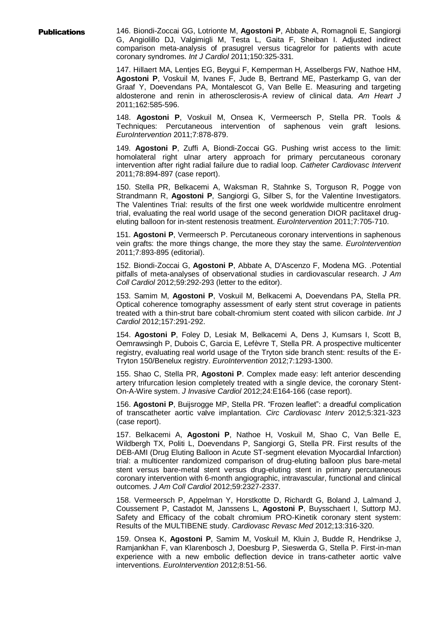Publications 146. Biondi-Zoccai GG, Lotrionte M, **Agostoni P**, Abbate A, Romagnoli E, Sangiorgi G, Angiolillo DJ, Valgimigli M, Testa L, Gaita F, Sheiban I. Adjusted indirect comparison meta-analysis of prasugrel versus ticagrelor for patients with acute coronary syndromes. *Int J Cardiol* 2011;150:325-331*.*

> 147. Hillaert MA, Lentjes EG, Beygui F, Kemperman H, Asselbergs FW, Nathoe HM, **Agostoni P**, Voskuil M, Ivanes F, Jude B, Bertrand ME, Pasterkamp G, van der Graaf Y, Doevendans PA, Montalescot G, Van Belle E. Measuring and targeting aldosterone and renin in atherosclerosis-A review of clinical data. *Am Heart J* 2011;162:585-596.

> 148. **Agostoni P**, Voskuil M, Onsea K, Vermeersch P, Stella PR. Tools & Techniques: Percutaneous intervention of saphenous vein graft lesions. *EuroIntervention* 2011;7:878-879.

> 149. **Agostoni P**, Zuffi A, Biondi-Zoccai GG. Pushing wrist access to the limit: homolateral right ulnar artery approach for primary percutaneous coronary intervention after right radial failure due to radial loop. *Catheter Cardiovasc Intervent* 2011;78:894-897 (case report).

> 150. Stella PR, Belkacemi A, Waksman R, Stahnke S, Torguson R, Pogge von Strandmann R, **Agostoni P**, Sangiorgi G, Silber S, for the Valentine Investigators. The Valentines Trial: results of the first one week worldwide multicentre enrolment trial, evaluating the real world usage of the second generation DIOR paclitaxel drugeluting balloon for in-stent restenosis treatment. *EuroIntervention* 2011;7:705-710.

> 151. **Agostoni P**, Vermeersch P. Percutaneous coronary interventions in saphenous vein grafts: the more things change, the more they stay the same. *EuroIntervention* 2011;7:893-895 (editorial).

> 152. Biondi-Zoccai G, **Agostoni P**, Abbate A, D'Ascenzo F, Modena MG. .Potential pitfalls of meta-analyses of observational studies in cardiovascular research. *J Am Coll Cardiol* 2012;59:292-293 (letter to the editor).

> 153. Samim M, **Agostoni P**, Voskuil M, Belkacemi A, Doevendans PA, Stella PR. Optical coherence tomography assessment of early stent strut coverage in patients treated with a thin-strut bare cobalt-chromium stent coated with silicon carbide. *Int J Cardiol* 2012;157:291-292.

> 154. **Agostoni P**, Foley D, Lesiak M, Belkacemi A, Dens J, Kumsars I, Scott B, Oemrawsingh P, Dubois C, Garcia E, Lefèvre T, Stella PR. A prospective multicenter registry, evaluating real world usage of the Tryton side branch stent: results of the E-Tryton 150/Benelux registry. *EuroIntervention* 2012;7:1293-1300.

> 155. Shao C, Stella PR, **Agostoni P**. Complex made easy: left anterior descending artery trifurcation lesion completely treated with a single device, the coronary Stent-On-A-Wire system. *J Invasive Cardiol* 2012;24:E164-166 (case report).

> 156. **Agostoni P**, Buijsrogge MP, Stella PR. "Frozen leaflet": a dreadful complication of transcatheter aortic valve implantation. *Circ Cardiovasc Interv* 2012;5:321-323 (case report).

> 157. Belkacemi A, **Agostoni P**, Nathoe H, Voskuil M, Shao C, Van Belle E, Wildbergh TX, Politi L, Doevendans P, Sangiorgi G, Stella PR. First results of the DEB-AMI (Drug Eluting Balloon in Acute ST-segment elevation Myocardial Infarction) trial: a multicenter randomized comparison of drug-eluting balloon plus bare-metal stent versus bare-metal stent versus drug-eluting stent in primary percutaneous coronary intervention with 6-month angiographic, intravascular, functional and clinical outcomes. *J Am Coll Cardiol* 2012;59:2327-2337.

> 158. Vermeersch P, Appelman Y, Horstkotte D, Richardt G, Boland J, Lalmand J, Coussement P, Castadot M, Janssens L, **Agostoni P**, Buysschaert I, Suttorp MJ. Safety and Efficacy of the cobalt chromium PRO-Kinetik coronary stent system: Results of the MULTIBENE study. *Cardiovasc Revasc Med* 2012;13:316-320.

> 159. Onsea K, **Agostoni P**, Samim M, Voskuil M, Kluin J, Budde R, Hendrikse J, Ramjankhan F, van Klarenbosch J, Doesburg P, Sieswerda G, Stella P. First-in-man experience with a new embolic deflection device in trans-catheter aortic valve interventions. *EuroIntervention* 2012;8:51-56.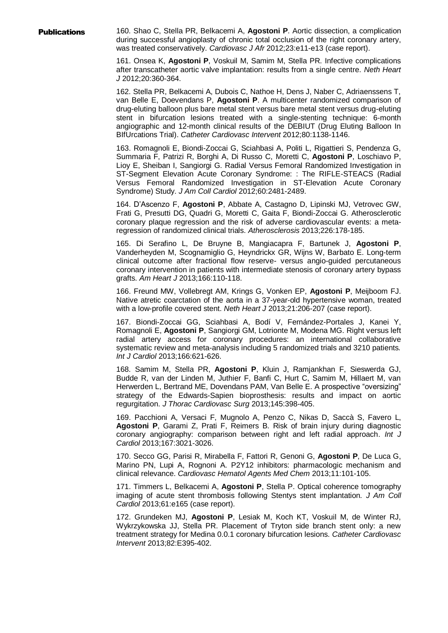Publications 160. Shao C, Stella PR, Belkacemi A, **Agostoni P**. Aortic dissection, a complication during successful angioplasty of chronic total occlusion of the right coronary artery, was treated conservatively. *Cardiovasc J Afr* 2012;23:e11-e13 (case report).

> 161. Onsea K, **Agostoni P**, Voskuil M, Samim M, Stella PR. Infective complications after transcatheter aortic valve implantation: results from a single centre. *Neth Heart J* 2012;20:360-364.

> 162. Stella PR, Belkacemi A, Dubois C, Nathoe H, Dens J, Naber C, Adriaenssens T, van Belle E, Doevendans P, **Agostoni P**. A multicenter randomized comparison of drug-eluting balloon plus bare metal stent versus bare metal stent versus drug-eluting stent in bifurcation lesions treated with a single-stenting technique: 6-month angiographic and 12-month clinical results of the DEBIUT (Drug Eluting Balloon In BIfUrcations Trial). *Catheter Cardiovasc Intervent* 2012;80:1138-1146.

> 163. Romagnoli E, Biondi-Zoccai G, Sciahbasi A, Politi L, Rigattieri S, Pendenza G, Summaria F, Patrizi R, Borghi A, Di Russo C, Moretti C, **Agostoni P**, Loschiavo P, Lioy E, Sheiban I, Sangiorgi G. Radial Versus Femoral Randomized Investigation in ST-Segment Elevation Acute Coronary Syndrome: : The RIFLE-STEACS (Radial Versus Femoral Randomized Investigation in ST-Elevation Acute Coronary Syndrome) Study. *J Am Coll Cardiol* 2012;60:2481-2489.

> 164. D'Ascenzo F, **Agostoni P**, Abbate A, Castagno D, Lipinski MJ, Vetrovec GW, Frati G, Presutti DG, Quadri G, Moretti C, Gaita F, Biondi-Zoccai G. Atherosclerotic coronary plaque regression and the risk of adverse cardiovascular events: a metaregression of randomized clinical trials. *Atherosclerosis* 2013;226:178-185.

> 165. Di Serafino L, De Bruyne B, Mangiacapra F, Bartunek J, **Agostoni P**, Vanderheyden M, Scognamiglio G, Heyndrickx GR, Wijns W, Barbato E. Long-term clinical outcome after fractional flow reserve- versus angio-guided percutaneous coronary intervention in patients with intermediate stenosis of coronary artery bypass grafts. *Am Heart J* 2013;166:110-118.

> 166. Freund MW, Vollebregt AM, Krings G, Vonken EP, **Agostoni P**, Meijboom FJ. Native atretic coarctation of the aorta in a 37-year-old hypertensive woman, treated with a low-profile covered stent. *Neth Heart J* 2013;21:206-207 (case report).

> 167. Biondi-Zoccai GG, Sciahbasi A, Bodí V, Fernández-Portales J, Kanei Y, Romagnoli E, **Agostoni P**, Sangiorgi GM, Lotrionte M, Modena MG. Right versus left radial artery access for coronary procedures: an international collaborative systematic review and meta-analysis including 5 randomized trials and 3210 patients*. Int J Cardiol* 2013;166:621-626.

> 168. Samim M, Stella PR, **Agostoni P**, Kluin J, Ramjankhan F, Sieswerda GJ, Budde R, van der Linden M, Juthier F, Banfi C, Hurt C, Samim M, Hillaert M, van Herwerden L, Bertrand ME, Dovendans PAM, Van Belle E. A prospective "oversizing" strategy of the Edwards-Sapien bioprosthesis: results and impact on aortic regurgitation. *J Thorac Cardiovasc Surg* 2013;145:398-405.

> 169. Pacchioni A, Versaci F, Mugnolo A, Penzo C, Nikas D, Saccà S, Favero L, **Agostoni P**, Garami Z, Prati F, Reimers B. Risk of brain injury during diagnostic coronary angiography: comparison between right and left radial approach. *Int J Cardiol* 2013;167:3021-3026.

> 170. Secco GG, Parisi R, Mirabella F, Fattori R, Genoni G, **Agostoni P**, De Luca G, Marino PN, Lupi A, Rognoni A. P2Y12 inhibitors: pharmacologic mechanism and clinical relevance. *Cardiovasc Hematol Agents Med Chem* 2013;11:101-105.

> 171. Timmers L, Belkacemi A, **Agostoni P**, Stella P. Optical coherence tomography imaging of acute stent thrombosis following Stentys stent implantation*. J Am Coll Cardiol* 2013;61:e165 (case report).

> 172. Grundeken MJ, **Agostoni P**, Lesiak M, Koch KT, Voskuil M, de Winter RJ, Wykrzykowska JJ, Stella PR. Placement of Tryton side branch stent only: a new treatment strategy for Medina 0.0.1 coronary bifurcation lesions. *Catheter Cardiovasc Intervent* 2013;82:E395-402.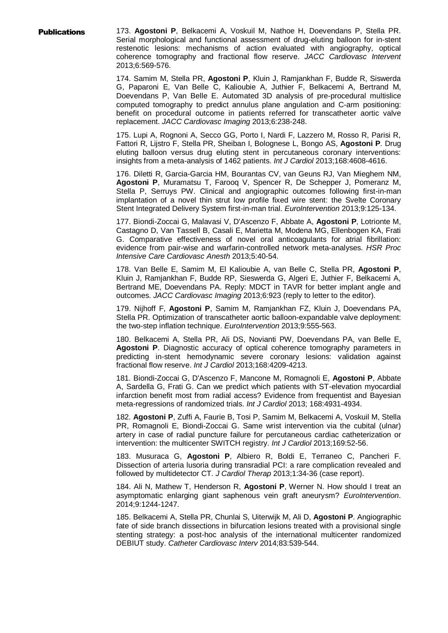Publications 173. **Agostoni P**, Belkacemi A, Voskuil M, Nathoe H, Doevendans P, Stella PR. Serial morphological and functional assessment of drug-eluting balloon for in-stent restenotic lesions: mechanisms of action evaluated with angiography, optical coherence tomography and fractional flow reserve. *JACC Cardiovasc Intervent* 2013;6:569-576.

> 174. Samim M, Stella PR, **Agostoni P**, Kluin J, Ramjankhan F, Budde R, Siswerda G, Paparoni E, Van Belle C, Kalioubie A, Juthier F, Belkacemi A, Bertrand M, Doevendans P, Van Belle E. Automated 3D analysis of pre-procedural multislice computed tomography to predict annulus plane angulation and C-arm positioning: benefit on procedural outcome in patients referred for transcatheter aortic valve replacement. *JACC Cardiovasc Imaging* 2013;6:238-248.

> 175. Lupi A, Rognoni A, Secco GG, Porto I, Nardi F, Lazzero M, Rosso R, Parisi R, Fattori R, Lijstro F, Stella PR, Sheiban I, Bolognese L, Bongo AS, **Agostoni P**. Drug eluting balloon versus drug eluting stent in percutaneous coronary interventions: insights from a meta-analysis of 1462 patients. *Int J Cardiol* 2013;168:4608-4616.

> 176. Diletti R, Garcia-Garcia HM, Bourantas CV, van Geuns RJ, Van Mieghem NM, **Agostoni P**, Muramatsu T, Farooq V, Spencer R, De Schepper J, Pomeranz M, Stella P, Serruys PW. Clinical and angiographic outcomes following first-in-man implantation of a novel thin strut low profile fixed wire stent: the Svelte Coronary Stent Integrated Delivery System first-in-man trial. *EuroIntervention* 2013;9:125-134.

> 177. Biondi-Zoccai G, Malavasi V, D'Ascenzo F, Abbate A, **Agostoni P**, Lotrionte M, Castagno D, Van Tassell B, Casali E, Marietta M, Modena MG, Ellenbogen KA, Frati G. Comparative effectiveness of novel oral anticoagulants for atrial fibrillation: evidence from pair-wise and warfarin-controlled network meta-analyses. *HSR Proc Intensive Care Cardiovasc Anesth* 2013;5:40-54.

> 178. Van Belle E, Samim M, El Kalioubie A, van Belle C, Stella PR, **Agostoni P**, Kluin J, Ramjankhan F, Budde RP, Sieswerda G, Algeri E, Juthier F, Belkacemi A, Bertrand ME, Doevendans PA. Reply: MDCT in TAVR for better implant angle and outcomes. *JACC Cardiovasc Imaging* 2013;6:923 (reply to letter to the editor).

> 179. Nijhoff F, **Agostoni P**, Samim M, Ramjankhan FZ, Kluin J, Doevendans PA, Stella PR. Optimization of transcatheter aortic balloon-expandable valve deployment: the two-step inflation technique. *EuroIntervention* 2013;9:555-563.

> 180. Belkacemi A, Stella PR, Ali DS, Novianti PW, Doevendans PA, van Belle E, **Agostoni P**. Diagnostic accuracy of optical coherence tomography parameters in predicting in-stent hemodynamic severe coronary lesions: validation against fractional flow reserve. *Int J Cardiol* 2013;168:4209-4213.

> 181. Biondi-Zoccai G, D'Ascenzo F, Mancone M, Romagnoli E, **Agostoni P**, Abbate A, Sardella G, Frati G. Can we predict which patients with ST-elevation myocardial infarction benefit most from radial access? Evidence from frequentist and Bayesian meta-regressions of randomized trials. *Int J Cardiol* 2013; 168:4931-4934.

> 182. **Agostoni P**, Zuffi A, Faurie B, Tosi P, Samim M, Belkacemi A, Voskuil M, Stella PR, Romagnoli E, Biondi-Zoccai G. Same wrist intervention via the cubital (ulnar) artery in case of radial puncture failure for percutaneous cardiac catheterization or intervention: the multicenter SWITCH registry. *Int J Cardiol* 2013;169:52-56.

> 183. Musuraca G, **Agostoni P**, Albiero R, Boldi E, Terraneo C, Pancheri F. Dissection of arteria lusoria during transradial PCI: a rare complication revealed and followed by multidetector CT. *J Cardiol Therap* 2013;1:34-36 (case report).

> 184. Ali N, Mathew T, Henderson R, **Agostoni P**, Werner N. How should I treat an asymptomatic enlarging giant saphenous vein graft aneurysm? *EuroIntervention*. 2014;9:1244-1247.

> 185. Belkacemi A, Stella PR, Chunlai S, Uiterwijk M, Ali D, **Agostoni P**. Angiographic fate of side branch dissections in bifurcation lesions treated with a provisional single stenting strategy: a post-hoc analysis of the international multicenter randomized DEBIUT study. *Catheter Cardiovasc Interv* 2014;83:539-544.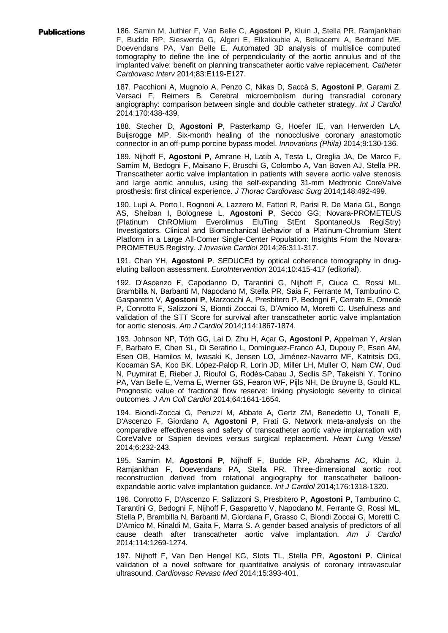**Publications** 186. Samin M, Juthier F, Van Belle C, Agostoni P, Kluin J, Stella PR, Ramjankhan F, Budde RP, Sieswerda G, Algeri E, Elkalioubie A, Belkacemi A, Bertrand ME, Doevendans PA, Van Belle E. Automated 3D analysis of multislice computed tomography to define the line of perpendicularity of the aortic annulus and of the implanted valve: benefit on planning transcatheter aortic valve replacement. *Catheter Cardiovasc Interv* 2014;83:E119-E127.

> 187. Pacchioni A, Mugnolo A, Penzo C, Nikas D, Saccà S, **Agostoni P**, Garami Z, Versaci F, Reimers B. Cerebral microembolism during transradial coronary angiography: comparison between single and double catheter strategy. *Int J Cardiol* 2014;170:438-439.

> 188. Stecher D, **Agostoni P**, Pasterkamp G, Hoefer IE, van Herwerden LA, Buijsrogge MP. Six-month healing of the nonocclusive coronary anastomotic connector in an off-pump porcine bypass model. *Innovations (Phila)* 2014;9:130-136.

> 189. Nijhoff F, **Agostoni P**, Amrane H, Latib A, Testa L, Oreglia JA, De Marco F, Samim M, Bedogni F, Maisano F, Bruschi G, Colombo A, Van Boven AJ, Stella PR. Transcatheter aortic valve implantation in patients with severe aortic valve stenosis and large aortic annulus, using the self-expanding 31-mm Medtronic CoreValve prosthesis: first clinical experience. *J Thorac Cardiovasc Surg* 2014;148:492-499.

> 190. Lupi A, Porto I, Rognoni A, Lazzero M, Fattori R, Parisi R, De Maria GL, Bongo AS, Sheiban I, Bolognese L, **Agostoni P**, Secco GG; Novara-PROMETEUS (Platinum ChROMium Everolimus EluTing StEnt SpontaneoUs RegiStry) Investigators. Clinical and Biomechanical Behavior of a Platinum-Chromium Stent Platform in a Large All-Comer Single-Center Population: Insights From the Novara-PROMETEUS Registry. *J Invasive Cardiol* 2014;26:311-317.

> 191. Chan YH, **Agostoni P**. SEDUCEd by optical coherence tomography in drugeluting balloon assessment. *EuroIntervention* 2014;10:415-417 (editorial).

> 192. D'Ascenzo F, Capodanno D, Tarantini G, Nijhoff F, Ciuca C, Rossi ML, Brambilla N, Barbanti M, Napodano M, Stella PR, Saia F, Ferrante M, Tamburino C, Gasparetto V, **Agostoni P**, Marzocchi A, Presbitero P, Bedogni F, Cerrato E, Omedè P, Conrotto F, Salizzoni S, Biondi Zoccai G, D'Amico M, Moretti C. Usefulness and validation of the STT Score for survival after transcatheter aortic valve implantation for aortic stenosis. *Am J Cardiol* 2014;114:1867-1874.

> 193. Johnson NP, Tóth GG, Lai D, Zhu H, Açar G, **Agostoni P**, Appelman Y, Arslan F, Barbato E, Chen SL, Di Serafino L, Domínguez-Franco AJ, Dupouy P, Esen AM, Esen OB, Hamilos M, Iwasaki K, Jensen LO, Jiménez-Navarro MF, Katritsis DG, Kocaman SA, Koo BK, López-Palop R, Lorin JD, Miller LH, Muller O, Nam CW, Oud N, Puymirat E, Rieber J, Rioufol G, Rodés-Cabau J, Sedlis SP, Takeishi Y, Tonino PA, Van Belle E, Verna E, Werner GS, Fearon WF, Pijls NH, De Bruyne B, Gould KL. Prognostic value of fractional flow reserve: linking physiologic severity to clinical outcomes. *J Am Coll Cardiol* 2014;64:1641-1654.

> 194. Biondi-Zoccai G, Peruzzi M, Abbate A, Gertz ZM, Benedetto U, Tonelli E, D'Ascenzo F, Giordano A, **Agostoni P**, Frati G. Network meta-analysis on the comparative effectiveness and safety of transcatheter aortic valve implantation with CoreValve or Sapien devices versus surgical replacement. *Heart Lung Vessel* 2014;6:232-243.

> 195. Samim M, **Agostoni P**, Nijhoff F, Budde RP, Abrahams AC, Kluin J, Ramjankhan F, Doevendans PA, Stella PR. Three-dimensional aortic root reconstruction derived from rotational angiography for transcatheter balloonexpandable aortic valve implantation guidance. *Int J Cardiol* 2014;176:1318-1320.

> 196. Conrotto F, D'Ascenzo F, Salizzoni S, Presbitero P, **Agostoni P**, Tamburino C, Tarantini G, Bedogni F, Nijhoff F, Gasparetto V, Napodano M, Ferrante G, Rossi ML, Stella P, Brambilla N, Barbanti M, Giordana F, Grasso C, Biondi Zoccai G, Moretti C, D'Amico M, Rinaldi M, Gaita F, Marra S. A gender based analysis of predictors of all cause death after transcatheter aortic valve implantation. *Am J Cardiol* 2014;114:1269-1274.

> 197. Nijhoff F, Van Den Hengel KG, Slots TL, Stella PR, **Agostoni P**. Clinical validation of a novel software for quantitative analysis of coronary intravascular ultrasound. *Cardiovasc Revasc Med* 2014;15:393-401.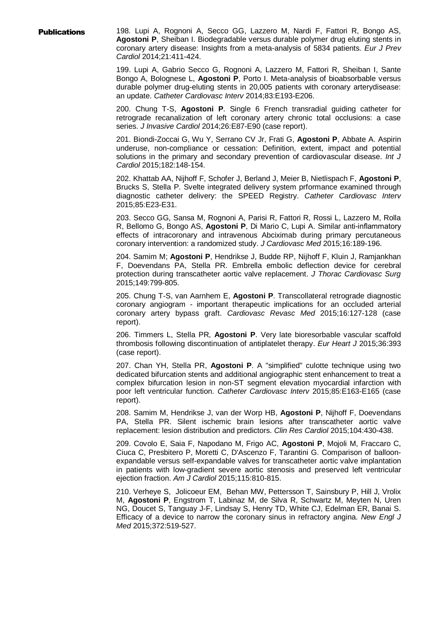**Publications** 198. Lupi A, Rognoni A, Secco GG, Lazzero M, Nardi F, Fattori R, Bongo AS, **Agostoni P**, Sheiban I. Biodegradable versus durable polymer drug eluting stents in coronary artery disease: Insights from a meta-analysis of 5834 patients. *Eur J Prev Cardiol* 2014;21:411-424.

> 199. Lupi A, Gabrio Secco G, Rognoni A, Lazzero M, Fattori R, Sheiban I, Sante Bongo A, Bolognese L, **Agostoni P**, Porto I. Meta-analysis of bioabsorbable versus durable polymer drug-eluting stents in 20,005 patients with coronary arterydisease: an update. *Catheter Cardiovasc Interv* 2014;83:E193-E206.

> 200. Chung T-S, **Agostoni P**. Single 6 French transradial guiding catheter for retrograde recanalization of left coronary artery chronic total occlusions: a case series. *J Invasive Cardiol* 2014;26:E87-E90 (case report).

> 201. Biondi-Zoccai G, Wu Y, Serrano CV Jr, Frati G, **Agostoni P**, Abbate A. Aspirin underuse, non-compliance or cessation: Definition, extent, impact and potential solutions in the primary and secondary prevention of cardiovascular disease. *Int J Cardiol* 2015;182:148-154.

> 202. Khattab AA, Nijhoff F, Schofer J, Berland J, Meier B, Nietlispach F, **Agostoni P**, Brucks S, Stella P. Svelte integrated delivery system prformance examined through diagnostic catheter delivery: the SPEED Registry. *Catheter Cardiovasc Interv* 2015;85:E23-E31.

> 203. Secco GG, Sansa M, Rognoni A, Parisi R, Fattori R, Rossi L, Lazzero M, Rolla R, Bellomo G, Bongo AS, **Agostoni P**, Di Mario C, Lupi A. Similar anti-inflammatory effects of intracoronary and intravenous Abciximab during primary percutaneous coronary intervention: a randomized study. *J Cardiovasc Med* 2015;16:189-196.

> 204. Samim M; **Agostoni P**, Hendrikse J, Budde RP, Nijhoff F, Kluin J, Ramjankhan F, Doevendans PA, Stella PR. Embrella embolic deflection device for cerebral protection during transcatheter aortic valve replacement. *J Thorac Cardiovasc Surg* 2015;149:799-805.

> 205. Chung T-S, van Aarnhem E, **Agostoni P**. Transcollateral retrograde diagnostic coronary angiogram - important therapeutic implications for an occluded arterial coronary artery bypass graft. *Cardiovasc Revasc Med* 2015;16:127-128 (case report).

> 206. Timmers L, Stella PR, **Agostoni P**. Very late bioresorbable vascular scaffold thrombosis following discontinuation of antiplatelet therapy. *Eur Heart J* 2015;36:393 (case report).

> 207. Chan YH, Stella PR, **Agostoni P**. A "simplified" culotte technique using two dedicated bifurcation stents and additional angiographic stent enhancement to treat a complex bifurcation lesion in non-ST segment elevation myocardial infarction with poor left ventricular function. *Catheter Cardiovasc Interv* 2015;85:E163-E165 (case report).

> 208. Samim M, Hendrikse J, van der Worp HB, **Agostoni P**, Nijhoff F, Doevendans PA, Stella PR. Silent ischemic brain lesions after transcatheter aortic valve replacement: lesion distribution and predictors. *Clin Res Cardiol* 2015;104:430-438.

> 209. Covolo E, Saia F, Napodano M, Frigo AC, **Agostoni P**, Mojoli M, Fraccaro C, Ciuca C, Presbitero P, Moretti C, D'Ascenzo F, Tarantini G. Comparison of balloonexpandable versus self-expandable valves for transcatheter aortic valve implantation in patients with low-gradient severe aortic stenosis and preserved left ventricular ejection fraction. *Am J Cardiol* 2015;115:810-815.

> 210. Verheye S, Jolicoeur EM, Behan MW, Pettersson T, Sainsbury P, Hill J, Vrolix M, **Agostoni P**, Engstrom T, Labinaz M, de Silva R, Schwartz M, Meyten N, Uren NG, Doucet S, Tanguay J-F, Lindsay S, Henry TD, White CJ, Edelman ER, Banai S. Efficacy of a device to narrow the coronary sinus in refractory angina. *New Engl J Med* 2015;372:519-527.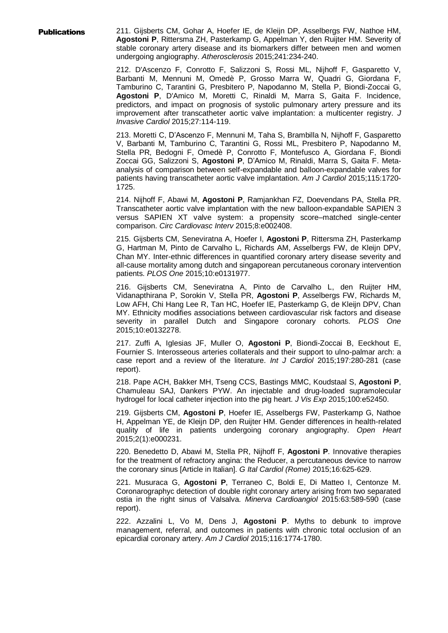**Publications** 211. Gijsberts CM, Gohar A, Hoefer IE, de Kleijn DP, Asselbergs FW, Nathoe HM, **Agostoni P**, Rittersma ZH, Pasterkamp G, Appelman Y, den Ruijter HM. Severity of stable coronary artery disease and its biomarkers differ between men and women undergoing angiography. *Atherosclerosis* 2015;241:234-240.

> 212. D'Ascenzo F, Conrotto F, Salizzoni S, Rossi ML, Nijhoff F, Gasparetto V, Barbanti M, Mennuni M, Omedè P, Grosso Marra W, Quadri G, Giordana F, Tamburino C, Tarantini G, Presbitero P, Napodanno M, Stella P, Biondi-Zoccai G, **Agostoni P**, D'Amico M, Moretti C, Rinaldi M, Marra S, Gaita F. Incidence, predictors, and impact on prognosis of systolic pulmonary artery pressure and its improvement after transcatheter aortic valve implantation: a multicenter registry. *J Invasive Cardiol* 2015;27:114-119.

> 213. Moretti C, D'Ascenzo F, Mennuni M, Taha S, Brambilla N, Nijhoff F, Gasparetto V, Barbanti M, Tamburino C, Tarantini G, Rossi ML, Presbitero P, Napodanno M, Stella PR, Bedogni F, Omedè P, Conrotto F, Montefusco A, Giordana F, Biondi Zoccai GG, Salizzoni S, **Agostoni P**, D'Amico M, Rinaldi, Marra S, Gaita F. Metaanalysis of comparison between self-expandable and balloon-expandable valves for patients having transcatheter aortic valve implantation. *Am J Cardiol* 2015;115:1720- 1725.

> 214. Nijhoff F, Abawi M, **Agostoni P**, Ramjankhan FZ, Doevendans PA, Stella PR. Transcatheter aortic valve implantation with the new balloon-expandable SAPIEN 3 versus SAPIEN XT valve system: a propensity score–matched single-center comparison. *Circ Cardiovasc Interv* 2015;8:e002408.

> 215. Gijsberts CM, Seneviratna A, Hoefer I, **Agostoni P**, Rittersma ZH, Pasterkamp G, Hartman M, Pinto de Carvalho L, Richards AM, Asselbergs FW, de Kleijn DPV, Chan MY. Inter-ethnic differences in quantified coronary artery disease severity and all-cause mortality among dutch and singaporean percutaneous coronary intervention patients. *PLOS One* 2015;10:e0131977.

> 216. Gijsberts CM, Seneviratna A, Pinto de Carvalho L, den Ruijter HM, Vidanapthirana P, Sorokin V, Stella PR, **Agostoni P**, Asselbergs FW, Richards M, Low AFH, Chi Hang Lee R, Tan HC, Hoefer IE, Pasterkamp G, de Kleijn DPV, Chan MY. Ethnicity modifies associations between cardiovascular risk factors and disease severity in parallel Dutch and Singapore coronary cohorts. *PLOS One* 2015;10:e0132278.

> 217. Zuffi A, Iglesias JF, Muller O, **Agostoni P**, Biondi-Zoccai B, Eeckhout E, Fournier S. Interosseous arteries collaterals and their support to ulno-palmar arch: a case report and a review of the literature. *Int J Cardiol* 2015;197:280-281 (case report).

> 218. Pape ACH, Bakker MH, Tseng CCS, Bastings MMC, Koudstaal S, **Agostoni P**, Chamuleau SAJ, Dankers PYW. An injectable and drug-loaded supramolecular hydrogel for local catheter injection into the pig heart. *J Vis Exp* 2015;100:e52450.

> 219. Gijsberts CM, **Agostoni P**, Hoefer IE, Asselbergs FW, Pasterkamp G, Nathoe H, Appelman YE, de Kleijn DP, den Ruijter HM. Gender differences in health-related quality of life in patients undergoing coronary angiography. *Open Heart* 2015;2(1):e000231.

> 220. Benedetto D, Abawi M, Stella PR, Nijhoff F, **Agostoni P**. Innovative therapies for the treatment of refractory angina: the Reducer, a percutaneous device to narrow the coronary sinus [Article in Italian]. *G Ital Cardiol (Rome)* 2015;16:625-629.

> 221. Musuraca G, **Agostoni P**, Terraneo C, Boldi E, Di Matteo I, Centonze M. Coronarographyc detection of double right coronary artery arising from two separated ostia in the right sinus of Valsalva. *Minerva Cardioangiol* 2015:63:589-590 (case report).

> 222. Azzalini L, Vo M, Dens J, **Agostoni P**. Myths to debunk to improve management, referral, and outcomes in patients with chronic total occlusion of an epicardial coronary artery. *Am J Cardiol* 2015;116:1774-1780.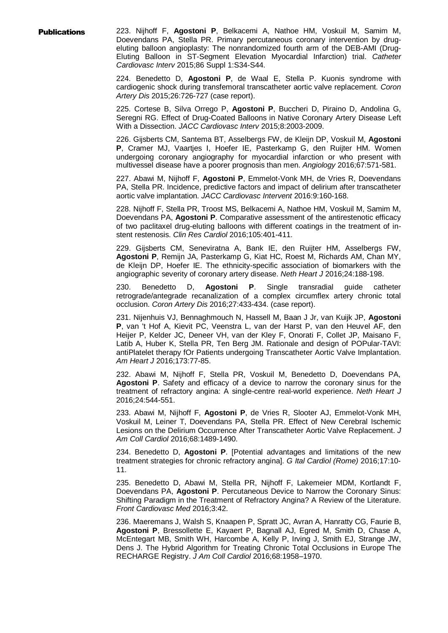**Publications** 223. Nijhoff F, Agostoni P, Belkacemi A, Nathoe HM, Voskuil M, Samim M, Doevendans PA, Stella PR. Primary percutaneous coronary intervention by drugeluting balloon angioplasty: The nonrandomized fourth arm of the DEB-AMI (Drug-Eluting Balloon in ST-Segment Elevation Myocardial Infarction) trial. *Catheter Cardiovasc Interv* 2015;86 Suppl 1:S34-S44.

> 224. Benedetto D, **Agostoni P**, de Waal E, Stella P. Kuonis syndrome with cardiogenic shock during transfemoral transcatheter aortic valve replacement. *Coron Artery Dis* 2015;26:726-727 (case report).

> 225. Cortese B, Silva Orrego P, **Agostoni P**, Buccheri D, Piraino D, Andolina G, Seregni RG. Effect of Drug-Coated Balloons in Native Coronary Artery Disease Left With a Dissection. *JACC Cardiovasc Interv* 2015;8:2003-2009.

> 226. Gijsberts CM, Santema BT, Asselbergs FW, de Kleijn DP, Voskuil M, **Agostoni P**, Cramer MJ, Vaartjes I, Hoefer IE, Pasterkamp G, den Ruijter HM. Women undergoing coronary angiography for myocardial infarction or who present with multivessel disease have a poorer prognosis than men. *Angiology* 2016;67:571-581.

> 227. Abawi M, Nijhoff F, **Agostoni P**, Emmelot-Vonk MH, de Vries R, Doevendans PA, Stella PR. Incidence, predictive factors and impact of delirium after transcatheter aortic valve implantation. *JACC Cardiovasc Intervent* 2016:9:160-168.

> 228. Nijhoff F, Stella PR, Troost MS, Belkacemi A, Nathoe HM, Voskuil M, Samim M, Doevendans PA, **Agostoni P**. Comparative assessment of the antirestenotic efficacy of two paclitaxel drug-eluting balloons with different coatings in the treatment of instent restenosis. *Clin Res Cardiol* 2016;105:401-411.

> 229. Gijsberts CM, Seneviratna A, Bank IE, den Ruijter HM, Asselbergs FW, **Agostoni P**, Remijn JA, Pasterkamp G, Kiat HC, Roest M, Richards AM, Chan MY, de Kleijn DP, Hoefer IE. The ethnicity-specific association of biomarkers with the angiographic severity of coronary artery disease. *Neth Heart J* 2016;24:188-198.

> 230. Benedetto D, **Agostoni P**. Single transradial guide catheter retrograde/antegrade recanalization of a complex circumflex artery chronic total occlusion. *Coron Artery Dis* 2016;27:433-434. (case report).

> 231. Nijenhuis VJ, Bennaghmouch N, Hassell M, Baan J Jr, van Kuijk JP, **Agostoni P**, van 't Hof A, Kievit PC, Veenstra L, van der Harst P, van den Heuvel AF, den Heijer P, Kelder JC, Deneer VH, van der Kley F, Onorati F, Collet JP, Maisano F, Latib A, Huber K, Stella PR, Ten Berg JM. Rationale and design of POPular-TAVI: antiPlatelet therapy fOr Patients undergoing Transcatheter Aortic Valve Implantation. *Am Heart J* 2016;173:77-85.

> 232. Abawi M, Nijhoff F, Stella PR, Voskuil M, Benedetto D, Doevendans PA, **Agostoni P**. Safety and efficacy of a device to narrow the coronary sinus for the treatment of refractory angina: A single-centre real-world experience. *Neth Heart J* 2016;24:544-551.

> 233. Abawi M, Nijhoff F, **Agostoni P**, de Vries R, Slooter AJ, Emmelot-Vonk MH, Voskuil M, Leiner T, Doevendans PA, Stella PR. Effect of New Cerebral Ischemic Lesions on the Delirium Occurrence After Transcatheter Aortic Valve Replacement. *J Am Coll Cardiol* 2016;68:1489-1490.

> 234. Benedetto D, **Agostoni P**. [Potential advantages and limitations of the new treatment strategies for chronic refractory angina]. *G Ital Cardiol (Rome)* 2016;17:10- 11.

> 235. Benedetto D, Abawi M, Stella PR, Nijhoff F, Lakemeier MDM, Kortlandt F, Doevendans PA, **Agostoni P**. Percutaneous Device to Narrow the Coronary Sinus: Shifting Paradigm in the Treatment of Refractory Angina? A Review of the Literature. *Front Cardiovasc Med* 2016;3:42.

> 236. Maeremans J, Walsh S, Knaapen P, Spratt JC, Avran A, Hanratty CG, Faurie B, **Agostoni P**, Bressollette E, Kayaert P, Bagnall AJ, Egred M, Smith D, Chase A, McEntegart MB, Smith WH, Harcombe A, Kelly P, Irving J, Smith EJ, Strange JW, Dens J. The Hybrid Algorithm for Treating Chronic Total Occlusions in Europe The RECHARGE Registry. *J Am Coll Cardiol* 2016;68:1958–1970.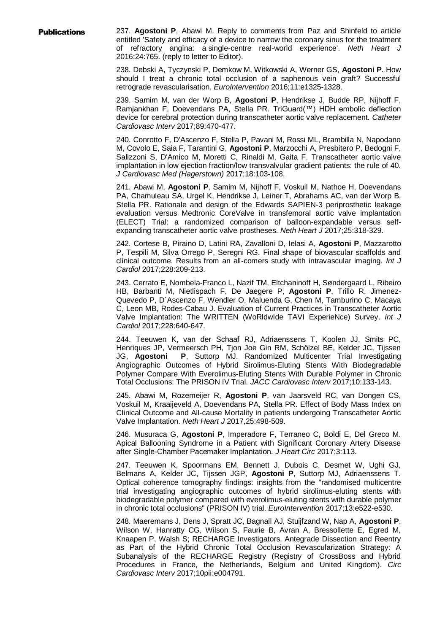**Publications** 237. Agostoni P, Abawi M. Reply to comments from Paz and Shinfeld to article entitled 'Safety and efficacy of a device to narrow the coronary sinus for the treatment of refractory angina: a single-centre real-world experience'. *Neth Heart J* 2016;24:765. (reply to letter to Editor).

> 238. Debski A, Tyczynski P, Demkow M, Witkowski A, Werner GS, **Agostoni P**. How should I treat a chronic total occlusion of a saphenous vein graft? Successful retrograde revascularisation. *EuroIntervention* 2016;11:e1325-1328.

> 239. Samim M, van der Worp B, **Agostoni P**, Hendrikse J, Budde RP, Nijhoff F, Ramjankhan F, Doevendans PA, Stella PR. TriGuard(™) HDH embolic deflection device for cerebral protection during transcatheter aortic valve replacement. *Catheter Cardiovasc Interv* 2017;89:470-477.

> 240. Conrotto F, D'Ascenzo F, Stella P, Pavani M, Rossi ML, Brambilla N, Napodano M, Covolo E, Saia F, Tarantini G, **Agostoni P**, Marzocchi A, Presbitero P, Bedogni F, Salizzoni S, D'Amico M, Moretti C, Rinaldi M, Gaita F. Transcatheter aortic valve implantation in low ejection fraction/low transvalvular gradient patients: the rule of 40. *J Cardiovasc Med (Hagerstown)* 2017;18:103-108.

> 241. Abawi M, **Agostoni P**, Samim M, Nijhoff F, Voskuil M, Nathoe H, Doevendans PA, Chamuleau SA, Urgel K, Hendrikse J, Leiner T, Abrahams AC, van der Worp B, Stella PR. Rationale and design of the Edwards SAPIEN-3 periprosthetic leakage evaluation versus Medtronic CoreValve in transfemoral aortic valve implantation (ELECT) Trial: a randomized comparison of balloon-expandable versus selfexpanding transcatheter aortic valve prostheses. *Neth Heart J* 2017;25:318-329.

> 242. Cortese B, Piraino D, Latini RA, Zavalloni D, Ielasi A, **Agostoni P**, Mazzarotto P, Tespili M, Silva Orrego P, Seregni RG. Final shape of biovascular scaffolds and clinical outcome. Results from an all-comers study with intravascular imaging. *Int J Cardiol* 2017;228:209-213.

> 243. Cerrato E, Nombela-Franco L, Nazif TM, Eltchaninoff H, Søndergaard L, Ribeiro HB, Barbanti M, Nietlispach F, De Jaegere P, **Agostoni P**, Trillo R, Jimenez-Quevedo P, D´Ascenzo F, Wendler O, Maluenda G, Chen M, Tamburino C, Macaya C, Leon MB, Rodes-Cabau J. Evaluation of Current Practices in Transcatheter Aortic Valve Implantation: The WRITTEN (WoRldwIde TAVI ExperieNce) Survey. *Int J Cardiol* 2017;228:640-647.

> 244. Teeuwen K, van der Schaaf RJ, Adriaenssens T, Koolen JJ, Smits PC, Henriques JP, Vermeersch PH, Tjon Joe Gin RM, Schölzel BE, Kelder JC, Tijssen JG, **Agostoni P**, Suttorp MJ. Randomized Multicenter Trial Investigating Angiographic Outcomes of Hybrid Sirolimus-Eluting Stents With Biodegradable Polymer Compare With Everolimus-Eluting Stents With Durable Polymer in Chronic Total Occlusions: The PRISON IV Trial. *JACC Cardiovasc Interv* 2017;10:133-143.

> 245. Abawi M, Rozemeijer R, **Agostoni P**, van Jaarsveld RC, van Dongen CS, Voskuil M, Kraaijeveld A, Doevendans PA, Stella PR. Effect of Body Mass Index on Clinical Outcome and All-cause Mortality in patients undergoing Transcatheter Aortic Valve Implantation. *Neth Heart J* 2017,25:498-509.

> 246. Musuraca G, **Agostoni P**, Imperadore F, Terraneo C, Boldi E, Del Greco M. Apical Ballooning Syndrome in a Patient with Significant Coronary Artery Disease after Single-Chamber Pacemaker Implantation. *J Heart Circ* 2017;3:113.

> 247. Teeuwen K, Spoormans EM, Bennett J, Dubois C, Desmet W, Ughi GJ, Belmans A, Kelder JC, Tijssen JGP, **Agostoni P**, Suttorp MJ, Adriaenssens T. Optical coherence tomography findings: insights from the "randomised multicentre trial investigating angiographic outcomes of hybrid sirolimus-eluting stents with biodegradable polymer compared with everolimus-eluting stents with durable polymer in chronic total occlusions" (PRISON IV) trial. *EuroIntervention* 2017;13:e522-e530.

> 248. Maeremans J, Dens J, Spratt JC, Bagnall AJ, Stuijfzand W, Nap A, **Agostoni P**, Wilson W, Hanratty CG, Wilson S, Faurie B, Avran A, Bressollette E, Egred M, Knaapen P, Walsh S; RECHARGE Investigators. Antegrade Dissection and Reentry as Part of the Hybrid Chronic Total Occlusion Revascularization Strategy: A Subanalysis of the RECHARGE Registry (Registry of CrossBoss and Hybrid Procedures in France, the Netherlands, Belgium and United Kingdom). *Circ Cardiovasc Interv* 2017;10pii:e004791.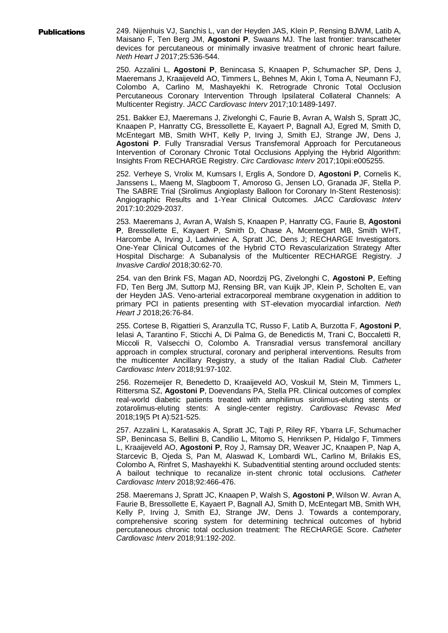**Publications** 249. Nijenhuis VJ, Sanchis L, van der Heyden JAS, Klein P, Rensing BJWM, Latib A, Maisano F, Ten Berg JM, **Agostoni P**, Swaans MJ. The last frontier: transcatheter devices for percutaneous or minimally invasive treatment of chronic heart failure. *Neth Heart J* 2017;25:536-544.

> 250. Azzalini L, **Agostoni P**, Benincasa S, Knaapen P, Schumacher SP, Dens J, Maeremans J, Kraaijeveld AO, Timmers L, Behnes M, Akin I, Toma A, Neumann FJ, Colombo A, Carlino M, Mashayekhi K. Retrograde Chronic Total Occlusion Percutaneous Coronary Intervention Through Ipsilateral Collateral Channels: A Multicenter Registry. *JACC Cardiovasc Interv* 2017;10:1489-1497.

> 251. Bakker EJ, Maeremans J, Zivelonghi C, Faurie B, Avran A, Walsh S, Spratt JC, Knaapen P, Hanratty CG, Bressollette E, Kayaert P, Bagnall AJ, Egred M, Smith D, McEntegart MB, Smith WHT, Kelly P, Irving J, Smith EJ, Strange JW, Dens J, **Agostoni P**. Fully Transradial Versus Transfemoral Approach for Percutaneous Intervention of Coronary Chronic Total Occlusions Applying the Hybrid Algorithm: Insights From RECHARGE Registry. *Circ Cardiovasc Interv* 2017;10pii:e005255.

> 252. Verheye S, Vrolix M, Kumsars I, Erglis A, Sondore D, **Agostoni P**, Cornelis K, Janssens L, Maeng M, Slagboom T, Amoroso G, Jensen LO, Granada JF, Stella P. The SABRE Trial (Sirolimus Angioplasty Balloon for Coronary In-Stent Restenosis): Angiographic Results and 1-Year Clinical Outcomes. *JACC Cardiovasc Interv* 2017:10:2029-2037.

> 253. Maeremans J, Avran A, Walsh S, Knaapen P, Hanratty CG, Faurie B, **Agostoni P**, Bressollette E, Kayaert P, Smith D, Chase A, Mcentegart MB, Smith WHT, Harcombe A, Irving J, Ladwiniec A, Spratt JC, Dens J; RECHARGE Investigators. One-Year Clinical Outcomes of the Hybrid CTO Revascularization Strategy After Hospital Discharge: A Subanalysis of the Multicenter RECHARGE Registry. *J Invasive Cardiol* 2018;30:62-70.

> 254. van den Brink FS, Magan AD, Noordzij PG, Zivelonghi C, **Agostoni P**, Eefting FD, Ten Berg JM, Suttorp MJ, Rensing BR, van Kuijk JP, Klein P, Scholten E, van der Heyden JAS. Veno-arterial extracorporeal membrane oxygenation in addition to primary PCI in patients presenting with ST-elevation myocardial infarction. *Neth Heart J* 2018;26:76-84.

> 255. Cortese B, Rigattieri S, Aranzulla TC, Russo F, Latib A, Burzotta F, **Agostoni P**, Ielasi A, Tarantino F, Sticchi A, Di Palma G, de Benedictis M, Trani C, Boccaletti R, Miccoli R, Valsecchi O, Colombo A. Transradial versus transfemoral ancillary approach in complex structural, coronary and peripheral interventions. Results from the multicenter Ancillary Registry, a study of the Italian Radial Club. *Catheter Cardiovasc Interv* 2018;91:97-102.

> 256. Rozemeijer R, Benedetto D, Kraaijeveld AO, Voskuil M, Stein M, Timmers L, Rittersma SZ, **Agostoni P**, Doevendans PA, Stella PR. Clinical outcomes of complex real-world diabetic patients treated with amphilimus sirolimus-eluting stents or zotarolimus-eluting stents: A single-center registry. *Cardiovasc Revasc Med* 2018;19(5 Pt A):521-525.

> 257. Azzalini L, Karatasakis A, Spratt JC, Tajti P, Riley RF, Ybarra LF, Schumacher SP, Benincasa S, Bellini B, Candilio L, Mitomo S, Henriksen P, Hidalgo F, Timmers L, Kraaijeveld AO, **Agostoni P**, Roy J, Ramsay DR, Weaver JC, Knaapen P, Nap A, Starcevic B, Ojeda S, Pan M, Alaswad K, Lombardi WL, Carlino M, Brilakis ES, Colombo A, Rinfret S, Mashayekhi K. Subadventitial stenting around occluded stents: A bailout technique to recanalize in-stent chronic total occlusions. *Catheter Cardiovasc Interv* 2018;92:466-476.

> 258. Maeremans J, Spratt JC, Knaapen P, Walsh S, **Agostoni P**, Wilson W. Avran A, Faurie B, Bressollette E, Kayaert P, Bagnall AJ, Smith D, McEntegart MB, Smith WH, Kelly P, Irving J, Smith EJ, Strange JW, Dens J. Towards a contemporary, comprehensive scoring system for determining technical outcomes of hybrid percutaneous chronic total occlusion treatment: The RECHARGE Score. *Catheter Cardiovasc Interv* 2018;91:192-202.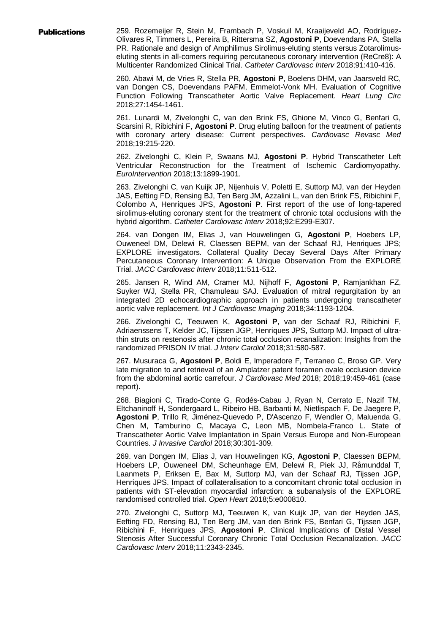Publications 259. Rozemeijer R, Stein M, Frambach P, Voskuil M, Kraaijeveld AO, Rodríguez-Olivares R, Timmers L, Pereira B, Rittersma SZ, **Agostoni P**, Doevendans PA, Stella PR. Rationale and design of Amphilimus Sirolimus-eluting stents versus Zotarolimuseluting stents in all-comers requiring percutaneous coronary intervention (ReCre8): A Multicenter Randomized Clinical Trial. *Catheter Cardiovasc Interv* 2018;91:410-416.

> 260. Abawi M, de Vries R, Stella PR, **Agostoni P**, Boelens DHM, van Jaarsveld RC, van Dongen CS, Doevendans PAFM, Emmelot-Vonk MH. Evaluation of Cognitive Function Following Transcatheter Aortic Valve Replacement. *Heart Lung Circ* 2018;27:1454-1461.

> 261. Lunardi M, Zivelonghi C, van den Brink FS, Ghione M, Vinco G, Benfari G, Scarsini R, Ribichini F, **Agostoni P**. Drug eluting balloon for the treatment of patients with coronary artery disease: Current perspectives. *Cardiovasc Revasc Med* 2018;19:215-220.

> 262. Zivelonghi C, Klein P, Swaans MJ, **Agostoni P**. Hybrid Transcatheter Left Ventricular Reconstruction for the Treatment of Ischemic Cardiomyopathy. *EuroIntervention* 2018;13:1899-1901.

> 263. Zivelonghi C, van Kuijk JP, Nijenhuis V, Poletti E, Suttorp MJ, van der Heyden JAS, Eefting FD, Rensing BJ, Ten Berg JM, Azzalini L, van den Brink FS, Ribichini F, Colombo A, Henriques JPS, **Agostoni P**. First report of the use of long-tapered sirolimus-eluting coronary stent for the treatment of chronic total occlusions with the hybrid algorithm. *Catheter Cardiovasc Interv* 2018;92:E299-E307.

> 264. van Dongen IM, Elias J, van Houwelingen G, **Agostoni P**, Hoebers LP, Ouweneel DM, Delewi R, Claessen BEPM, van der Schaaf RJ, Henriques JPS; EXPLORE investigators. Collateral Quality Decay Several Days After Primary Percutaneous Coronary Intervention: A Unique Observation From the EXPLORE Trial. *JACC Cardiovasc Interv* 2018;11:511-512.

> 265. Jansen R, Wind AM, Cramer MJ, Nijhoff F, **Agostoni P**, Ramjankhan FZ, Suyker WJ, Stella PR, Chamuleau SAJ. Evaluation of mitral regurgitation by an integrated 2D echocardiographic approach in patients undergoing transcatheter aortic valve replacement. *Int J Cardiovasc Imaging* 2018;34:1193-1204.

> 266. Zivelonghi C, Teeuwen K, **Agostoni P**, van der Schaaf RJ, Ribichini F, Adriaenssens T, Kelder JC, Tijssen JGP, Henriques JPS, Suttorp MJ. Impact of ultrathin struts on restenosis after chronic total occlusion recanalization: Insights from the randomized PRISON IV trial. *J Interv Cardiol* 2018;31:580-587.

> 267. Musuraca G, **Agostoni P**, Boldi E, Imperadore F, Terraneo C, Broso GP. Very late migration to and retrieval of an Amplatzer patent foramen ovale occlusion device from the abdominal aortic carrefour. *J Cardiovasc Med* 2018; 2018;19:459-461 (case report).

> 268. Biagioni C, Tirado-Conte G, Rodés-Cabau J, Ryan N, Cerrato E, Nazif TM, Eltchaninoff H, Sondergaard L, Ribeiro HB, Barbanti M, Nietlispach F, De Jaegere P, **Agostoni P**, Trillo R, Jiménez-Quevedo P, D'Ascenzo F, Wendler O, Maluenda G, Chen M, Tamburino C, Macaya C, Leon MB, Nombela-Franco L. State of Transcatheter Aortic Valve Implantation in Spain Versus Europe and Non-European Countries. *J Invasive Cardiol* 2018;30:301-309.

> 269. van Dongen IM, Elias J, van Houwelingen KG, **Agostoni P**, Claessen BEPM, Hoebers LP, Ouweneel DM, Scheunhage EM, Delewi R, Piek JJ, Råmunddal T, Laanmets P, Eriksen E, Bax M, Suttorp MJ, van der Schaaf RJ, Tijssen JGP, Henriques JPS. Impact of collateralisation to a concomitant chronic total occlusion in patients with ST-elevation myocardial infarction: a subanalysis of the EXPLORE randomised controlled trial. *Open Heart* 2018;5:e000810.

> 270. Zivelonghi C, Suttorp MJ, Teeuwen K, van Kuijk JP, van der Heyden JAS, Eefting FD, Rensing BJ, Ten Berg JM, van den Brink FS, Benfari G, Tijssen JGP, Ribichini F, Henriques JPS, **Agostoni P**. Clinical Implications of Distal Vessel Stenosis After Successful Coronary Chronic Total Occlusion Recanalization. *JACC Cardiovasc Interv* 2018;11:2343-2345.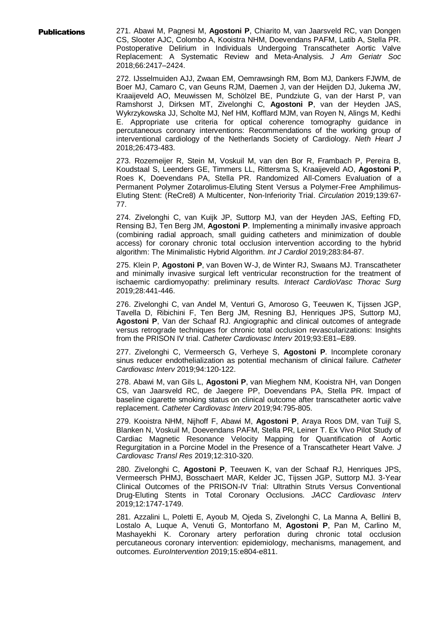Publications 271. Abawi M, Pagnesi M, **Agostoni P**, Chiarito M, van Jaarsveld RC, van Dongen CS, Slooter AJC, Colombo A, Kooistra NHM, Doevendans PAFM, Latib A, Stella PR. Postoperative Delirium in Individuals Undergoing Transcatheter Aortic Valve Replacement: A Systematic Review and Meta-Analysis. *J Am Geriatr Soc* 2018;66:2417–2424.

> 272. IJsselmuiden AJJ, Zwaan EM, Oemrawsingh RM, Bom MJ, Dankers FJWM, de Boer MJ, Camaro C, van Geuns RJM, Daemen J, van der Heijden DJ, Jukema JW, Kraaijeveld AO, Meuwissen M, Schölzel BE, Pundziute G, van der Harst P, van Ramshorst J, Dirksen MT, Zivelonghi C, **Agostoni P**, van der Heyden JAS, Wykrzykowska JJ, Scholte MJ, Nef HM, Kofflard MJM, van Royen N, Alings M, Kedhi E. Appropriate use criteria for optical coherence tomography guidance in percutaneous coronary interventions: Recommendations of the working group of interventional cardiology of the Netherlands Society of Cardiology. *Neth Heart J* 2018;26:473-483.

> 273. Rozemeijer R, Stein M, Voskuil M, van den Bor R, Frambach P, Pereira B, Koudstaal S, Leenders GE, Timmers LL, Rittersma S, Kraaijeveld AO, **Agostoni P**, Roes K, Doevendans PA, Stella PR. Randomized All-Comers Evaluation of a Permanent Polymer Zotarolimus-Eluting Stent Versus a Polymer-Free Amphilimus-Eluting Stent: (ReCre8) A Multicenter, Non-Inferiority Trial. *Circulation* 2019;139:67- 77.

> 274. Zivelonghi C, van Kuijk JP, Suttorp MJ, van der Heyden JAS, Eefting FD, Rensing BJ, Ten Berg JM, **Agostoni P**. Implementing a minimally invasive approach (combining radial approach, small guiding catheters and minimization of double access) for coronary chronic total occlusion intervention according to the hybrid algorithm: The Minimalistic Hybrid Algorithm. *Int J Cardiol* 2019;283:84-87.

> 275. Klein P, **Agostoni P**, van Boven W-J, de Winter RJ, Swaans MJ. Transcatheter and minimally invasive surgical left ventricular reconstruction for the treatment of ischaemic cardiomyopathy: preliminary results. *Interact CardioVasc Thorac Surg* 2019;28:441-446.

> 276. Zivelonghi C, van Andel M, Venturi G, Amoroso G, Teeuwen K, Tijssen JGP, Tavella D, Ribichini F, Ten Berg JM, Resning BJ, Henriques JPS, Suttorp MJ, **Agostoni P**, Van der Schaaf RJ. Angiographic and clinical outcomes of antegrade versus retrograde techniques for chronic total occlusion revascularizations: Insights from the PRISON IV trial. *Catheter Cardiovasc Interv* 2019;93:E81–E89.

> 277. Zivelonghi C, Vermeersch G, Verheye S, **Agostoni P**. Incomplete coronary sinus reducer endothelialization as potential mechanism of clinical failure. *Catheter Cardiovasc Interv* 2019;94:120-122.

> 278. Abawi M, van Gils L, **Agostoni P**, van Mieghem NM, Kooistra NH, van Dongen CS, van Jaarsveld RC, de Jaegere PP, Doevendans PA, Stella PR. Impact of baseline cigarette smoking status on clinical outcome after transcatheter aortic valve replacement. *Catheter Cardiovasc Interv* 2019;94:795-805.

> 279. Kooistra NHM, Nijhoff F, Abawi M, **Agostoni P**, Araya Roos DM, van Tuijl S, Blanken N, Voskuil M, Doevendans PAFM, Stella PR, Leiner T. Ex Vivo Pilot Study of Cardiac Magnetic Resonance Velocity Mapping for Quantification of Aortic Regurgitation in a Porcine Model in the Presence of a Transcatheter Heart Valve. *J Cardiovasc Transl Res* 2019;12:310-320.

> 280. Zivelonghi C, **Agostoni P**, Teeuwen K, van der Schaaf RJ, Henriques JPS, Vermeersch PHMJ, Bosschaert MAR, Kelder JC, Tijssen JGP, Suttorp MJ. 3-Year Clinical Outcomes of the PRISON-IV Trial: Ultrathin Struts Versus Conventional Drug-Eluting Stents in Total Coronary Occlusions. *JACC Cardiovasc Interv* 2019;12:1747-1749.

> 281. Azzalini L, Poletti E, Ayoub M, Ojeda S, Zivelonghi C, La Manna A, Bellini B, Lostalo A, Luque A, Venuti G, Montorfano M, **Agostoni P**, Pan M, Carlino M, Mashayekhi K. Coronary artery perforation during chronic total occlusion percutaneous coronary intervention: epidemiology, mechanisms, management, and outcomes. *EuroIntervention* 2019;15:e804-e811.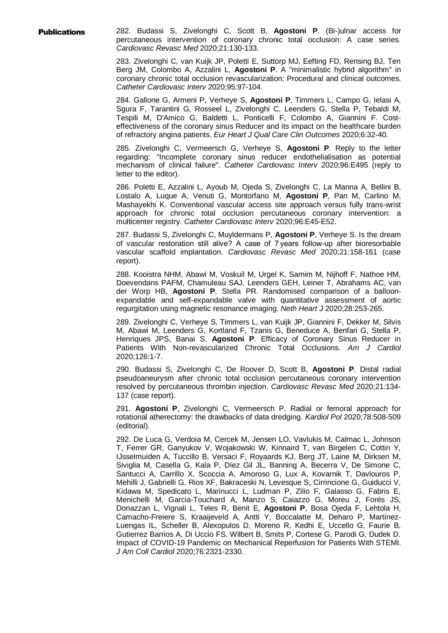Publications 282. Budassi S, Zivelonghi C, Scott B, **Agostoni P**. (Bi-)ulnar access for percutaneous intervention of coronary chronic total occlusion: A case series. *Cardiovasc Revasc Med* 2020;21:130-133.

> 283. Zivelonghi C, van Kuijk JP, Poletti E, Suttorp MJ, Eefting FD, Rensing BJ, Ten Berg JM, Colombo A, Azzalini L, **Agostoni P**. A "minimalistic hybrid algorithm" in coronary chronic total occlusion revascularization: Procedural and clinical outcomes. *Catheter Cardiovasc Interv* 2020;95:97-104.

> 284. Gallone G, Armeni P, Verheye S, **Agostoni P**, Timmers L, Campo G, Ielasi A, Sgura F, Tarantini G, Rosseel L, Zivelonghi C, Leenders G, Stella P, Tebaldi M, Tespili M, D'Amico G, Baldetti L, Ponticelli F, Colombo A, Giannini F. Costeffectiveness of the coronary sinus Reducer and its impact on the healthcare burden of refractory angina patients. *Eur Heart J Qual Care Clin Outcomes* 2020;6:32-40.

> 285. Zivelonghi C, Vermeersch G, Verheye S, **Agostoni P**. Reply to the letter regarding: "Incomplete coronary sinus reducer endothelialisation as potential mechanism of clinical failure". *Catheter Cardiovasc Interv* 2020;96:E495 (reply to letter to the editor).

> 286. Poletti E, Azzalini L, Ayoub M, Ojeda S, Zivelonghi C, La Manna A, Bellini B, Lostalo A, Luque A, Venuti G, Montorfano M, **Agostoni P**, Pan M, Carlino M, Mashayekhi K. Conventional vascular access site approach versus fully trans-wrist approach for chronic total occlusion percutaneous coronary intervention: a multicenter registry. *Catheter Cardiovasc Interv* 2020;96:E45-E52.

> 287. Budassi S, Zivelonghi C, Muyldermans P, **Agostoni P**, Verheye S. Is the dream of vascular restoration still alive? A case of 7 years follow-up after bioresorbable vascular scaffold implantation. *Cardiovasc Revasc Med* 2020;21:158-161 (case report).

> 288. Kooistra NHM, Abawi M, Voskuil M, Urgel K, Samim M, Nijhoff F, Nathoe HM, Doevendans PAFM, Chamuleau SAJ, Leenders GEH, Leiner T, Abrahams AC, van der Worp HB, **Agostoni P**, Stella PR. Randomised comparison of a balloonexpandable and self-expandable valve with quantitative assessment of aortic regurgitation using magnetic resonance imaging. *Neth Heart J* 2020;28:253-265.

> 289. Zivelonghi C, Verheye S, Timmers L, van Kuijk JP, Giannini F, Dekker M, Silvis M, Abawi M, Leenders G, Kortland F, Tzanis G, Beneduce A, Benfari G, Stella P, Henriques JPS, Banai S, **Agostoni P**. Efficacy of Coronary Sinus Reducer in Patients With Non-revascularized Chronic Total Occlusions. *Am J Cardiol* 2020;126:1-7.

> 290. Budassi S, Zivelonghi C, De Roover D, Scott B, **Agostoni P**. Distal radial pseudoaneurysm after chronic total occlusion percutaneous coronary intervention resolved by percutaneous thrombin injection. *Cardiovasc Revasc Med* 2020;21:134- 137 (case report).

> 291. **Agostoni P**, Zivelonghi C, Vermeersch P. Radial or femoral approach for rotational atherectomy: the drawbacks of data dredging. *Kardiol Pol* 2020;78:508-509 (editorial).

> 292. De Luca G, Verdoia M, Cercek M, Jensen LO, Vavlukis M, Calmac L, Johnson T, Ferrer GR, Ganyukov V, Wojakowski W, Kinnaird T, van Birgelen C, Cottin Y, IJsselmuiden A, Tuccillo B, Versaci F, Royaards KJ, Berg JT, Laine M, Dirksen M, Siviglia M, Casella G, Kala P, Díez Gil JL, Banning A, Becerra V, De Simone C, Santucci A, Carrillo X, Scoccia A, Amoroso G, Lux A, Kovarnik T, Davlouros P, Mehilli J, Gabrielli G, Rios XF, Bakraceski N, Levesque S, Cirrincione G, Guiducci V, Kidawa M, Spedicato L, Marinucci L, Ludman P, Zilio F, Galasso G, Fabris E, Menichelli M, Garcia-Touchard A, Manzo S, Caiazzo G, Moreu J, Forés JS, Donazzan L, Vignali L, Teles R, Benit E, **Agostoni P**, Bosa Ojeda F, Lehtola H, Camacho-Freiere S, Kraaijeveld A, Antti Y, Boccalatte M, Deharo P, Martínez-Luengas IL, Scheller B, Alexopulos D, Moreno R, Kedhi E, Uccello G, Faurie B, Gutierrez Barrios A, Di Uccio FS, Wilbert B, Smits P, Cortese G, Parodi G, Dudek D. Impact of COVID-19 Pandemic on Mechanical Reperfusion for Patients With STEMI. *J Am Coll Cardiol* 2020;76:2321-2330.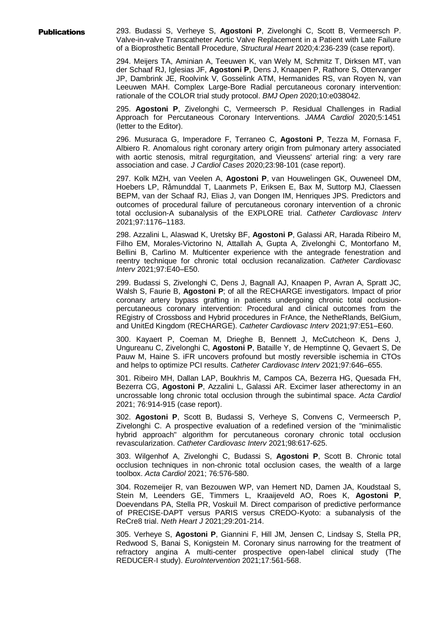Publications 293. Budassi S, Verheye S, **Agostoni P**, Zivelonghi C, Scott B, Vermeersch P. Valve-in-valve Transcatheter Aortic Valve Replacement in a Patient with Late Failure of a Bioprosthetic Bentall Procedure, *Structural Heart* 2020;4:236-239 (case report).

> 294. Meijers TA, Aminian A, Teeuwen K, van Wely M, Schmitz T, Dirksen MT, van der Schaaf RJ, Iglesias JF, **Agostoni P**, Dens J, Knaapen P, Rathore S, Ottervanger JP, Dambrink JE, Roolvink V, Gosselink ATM, Hermanides RS, van Royen N, van Leeuwen MAH. Complex Large-Bore Radial percutaneous coronary intervention: rationale of the COLOR trial study protocol. *BMJ Open* 2020;10:e038042.

> 295. **Agostoni P**, Zivelonghi C, Vermeersch P. Residual Challenges in Radial Approach for Percutaneous Coronary Interventions. *JAMA Cardiol* 2020;5:1451 (letter to the Editor).

> 296. Musuraca G, Imperadore F, Terraneo C, **Agostoni P**, Tezza M, Fornasa F, Albiero R. Anomalous right coronary artery origin from pulmonary artery associated with aortic stenosis, mitral regurgitation, and Vieussens' arterial ring: a very rare association and case. *J Cardiol Cases* 2020;23:98-101 (case report).

> 297. Kolk MZH, van Veelen A, **Agostoni P**, van Houwelingen GK, Ouweneel DM, Hoebers LP, Råmunddal T, Laanmets P, Eriksen E, Bax M, Suttorp MJ, Claessen BEPM, van der Schaaf RJ, Elias J, van Dongen IM, Henriques JPS. Predictors and outcomes of procedural failure of percutaneous coronary intervention of a chronic total occlusion-A subanalysis of the EXPLORE trial. *Catheter Cardiovasc Interv* 2021;97:1176–1183.

> 298. Azzalini L, Alaswad K, Uretsky BF, **Agostoni P**, Galassi AR, Harada Ribeiro M, Filho EM, Morales-Victorino N, Attallah A, Gupta A, Zivelonghi C, Montorfano M, Bellini B, Carlino M. Multicenter experience with the antegrade fenestration and reentry technique for chronic total occlusion recanalization. *Catheter Cardiovasc Interv* 2021;97:E40–E50.

> 299. Budassi S, Zivelonghi C, Dens J, Bagnall AJ, Knaapen P, Avran A, Spratt JC, Walsh S, Faurie B, **Agostoni P**; of all the RECHARGE investigators. Impact of prior coronary artery bypass grafting in patients undergoing chronic total occlusionpercutaneous coronary intervention: Procedural and clinical outcomes from the REgistry of Crossboss and Hybrid procedures in FrAnce, the NetheRlands, BelGium, and UnitEd Kingdom (RECHARGE). *Catheter Cardiovasc Interv* 2021;97:E51–E60.

> 300. Kayaert P, Coeman M, Drieghe B, Bennett J, McCutcheon K, Dens J, Ungureanu C, Zivelonghi C, **Agostoni P**, Bataille Y, de Hemptinne Q, Gevaert S, De Pauw M, Haine S. iFR uncovers profound but mostly reversible ischemia in CTOs and helps to optimize PCI results. *Catheter Cardiovasc Interv* 2021;97:646–655.

> 301. Ribeiro MH, Dallan LAP, Boukhris M, Campos CA, Bezerra HG, Quesada FH, Bezerra CG, **Agostoni P**, Azzalini L, Galassi AR. Excimer laser atherectomy in an uncrossable long chronic total occlusion through the subintimal space. *Acta Cardiol* 2021; 76:914-915 (case report).

> 302. **Agostoni P**, Scott B, Budassi S, Verheye S, Convens C, Vermeersch P, Zivelonghi C. A prospective evaluation of a redefined version of the "minimalistic hybrid approach" algorithm for percutaneous coronary chronic total occlusion revascularization. *Catheter Cardiovasc Interv* 2021;98:617-625.

> 303. Wilgenhof A, Zivelonghi C, Budassi S, **Agostoni P**, Scott B. Chronic total occlusion techniques in non-chronic total occlusion cases, the wealth of a large toolbox. *Acta Cardiol* 2021; 76:576-580.

> 304. Rozemeijer R, van Bezouwen WP, van Hemert ND, Damen JA, Koudstaal S, Stein M, Leenders GE, Timmers L, Kraaijeveld AO, Roes K, **Agostoni P**, Doevendans PA, Stella PR, Voskuil M. Direct comparison of predictive performance of PRECISE-DAPT versus PARIS versus CREDO-Kyoto: a subanalysis of the ReCre8 trial. *Neth Heart J* 2021;29:201-214.

> 305. Verheye S, **Agostoni P**, Giannini F, Hill JM, Jensen C, Lindsay S, Stella PR, Redwood S, Banai S, Konigstein M. Coronary sinus narrowing for the treatment of refractory angina A multi-center prospective open-label clinical study (The REDUCER-I study). *EuroIntervention* 2021;17:561-568.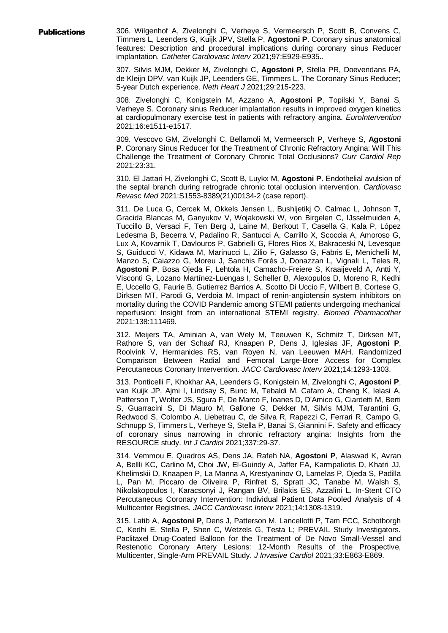**Publications** 306. Wilgenhof A, Zivelonghi C, Verheye S, Vermeersch P, Scott B, Convens C, Timmers L, Leenders G, Kuijk JPV, Stella P, **Agostoni P**. Coronary sinus anatomical features: Description and procedural implications during coronary sinus Reducer implantation. *Catheter Cardiovasc Interv* 2021;97:E929-E935..

> 307. Silvis MJM, Dekker M, Zivelonghi C, **Agostoni P**, Stella PR, Doevendans PA, de Kleijn DPV, van Kuijk JP, Leenders GE, Timmers L. The Coronary Sinus Reducer; 5-year Dutch experience. *Neth Heart J* 2021;29:215-223.

> 308. Zivelonghi C, Konigstein M, Azzano A, **Agostoni P**, Topilski Y, Banai S, Verheye S. Coronary sinus Reducer implantation results in improved oxygen kinetics at cardiopulmonary exercise test in patients with refractory angina. *EuroIntervention* 2021;16:e1511-e1517.

> 309. Vescovo GM, Zivelonghi C, Bellamoli M, Vermeersch P, Verheye S, **Agostoni P**. Coronary Sinus Reducer for the Treatment of Chronic Refractory Angina: Will This Challenge the Treatment of Coronary Chronic Total Occlusions? *Curr Cardiol Rep* 2021;23:31.

> 310. El Jattari H, Zivelonghi C, Scott B, Luykx M, **Agostoni P**. Endothelial avulsion of the septal branch during retrograde chronic total occlusion intervention. *Cardiovasc Revasc Med* 2021:S1553-8389(21)00134-2 (case report).

> 311. De Luca G, Cercek M, Okkels Jensen L, Bushljetikj O, Calmac L, Johnson T, Gracida Blancas M, Ganyukov V, Wojakowski W, von Birgelen C, IJsselmuiden A, Tuccillo B, Versaci F, Ten Berg J, Laine M, Berkout T, Casella G, Kala P, López Ledesma B, Becerra V, Padalino R, Santucci A, Carrillo X, Scoccia A, Amoroso G, Lux A, Kovarnik T, Davlouros P, Gabrielli G, Flores Rios X, Bakraceski N, Levesque S, Guiducci V, Kidawa M, Marinucci L, Zilio F, Galasso G, Fabris E, Menichelli M, Manzo S, Caiazzo G, Moreu J, Sanchis Forés J, Donazzan L, Vignali L, Teles R, **Agostoni P**, Bosa Ojeda F, Lehtola H, Camacho-Freiere S, Kraaijeveld A, Antti Y, Visconti G, Lozano Martínez-Luengas I, Scheller B, Alexopulos D, Moreno R, Kedhi E, Uccello G, Faurie B, Gutierrez Barrios A, Scotto Di Uccio F, Wilbert B, Cortese G, Dirksen MT, Parodi G, Verdoia M. Impact of renin-angiotensin system inhibitors on mortality during the COVID Pandemic among STEMI patients undergoing mechanical reperfusion: Insight from an international STEMI registry. *Biomed Pharmacother* 2021;138:111469.

> 312. Meijers TA, Aminian A, van Wely M, Teeuwen K, Schmitz T, Dirksen MT, Rathore S, van der Schaaf RJ, Knaapen P, Dens J, Iglesias JF, **Agostoni P**, Roolvink V, Hermanides RS, van Royen N, van Leeuwen MAH. Randomized Comparison Between Radial and Femoral Large-Bore Access for Complex Percutaneous Coronary Intervention. *JACC Cardiovasc Interv* 2021;14:1293-1303.

> 313. Ponticelli F, Khokhar AA, Leenders G, Konigstein M, Zivelonghi C, **Agostoni P**, van Kuijk JP, Ajmi I, Lindsay S, Bunc M, Tebaldi M, Cafaro A, Cheng K, Ielasi A, Patterson T, Wolter JS, Sgura F, De Marco F, Ioanes D, D'Amico G, Ciardetti M, Berti S, Guarracini S, Di Mauro M, Gallone G, Dekker M, Silvis MJM, Tarantini G, Redwood S, Colombo A, Liebetrau C, de Silva R, Rapezzi C, Ferrari R, Campo G, Schnupp S, Timmers L, Verheye S, Stella P, Banai S, Giannini F. Safety and efficacy of coronary sinus narrowing in chronic refractory angina: Insights from the RESOURCE study. *Int J Cardiol* 2021;337:29-37.

> 314. Vemmou E, Quadros AS, Dens JA, Rafeh NA, **Agostoni P**, Alaswad K, Avran A, Bellli KC, Carlino M, Choi JW, El-Guindy A, Jaffer FA, Karmpaliotis D, Khatri JJ, Khelimskii D, Knaapen P, La Manna A, Krestyaninov O, Lamelas P, Ojeda S, Padilla L, Pan M, Piccaro de Oliveira P, Rinfret S, Spratt JC, Tanabe M, Walsh S, Nikolakopoulos I, Karacsonyi J, Rangan BV, Brilakis ES, Azzalini L. In-Stent CTO Percutaneous Coronary Intervention: Individual Patient Data Pooled Analysis of 4 Multicenter Registries. *JACC Cardiovasc Interv* 2021;14:1308-1319.

> 315. Latib A, **Agostoni P**, Dens J, Patterson M, Lancellotti P, Tam FCC, Schotborgh C, Kedhi E, Stella P, Shen C, Wetzels G, Testa L; PREVAIL Study Investigators. Paclitaxel Drug-Coated Balloon for the Treatment of De Novo Small-Vessel and Restenotic Coronary Artery Lesions: 12-Month Results of the Prospective, Multicenter, Single-Arm PREVAIL Study. *J Invasive Cardiol* 2021;33:E863-E869.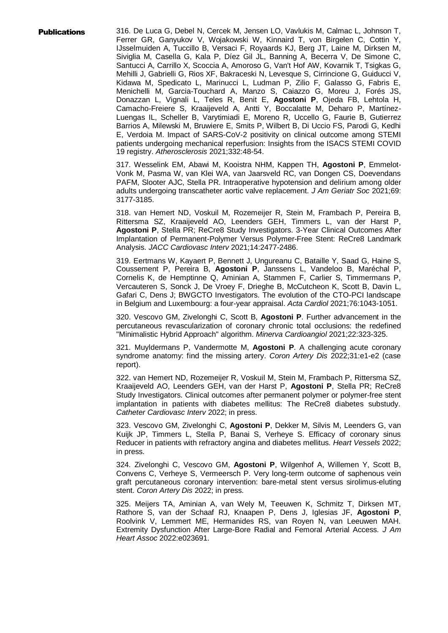**Publications** 316. De Luca G, Debel N, Cercek M, Jensen LO, Vavlukis M, Calmac L, Johnson T, Ferrer GR, Ganyukov V, Wojakowski W, Kinnaird T, von Birgelen C, Cottin Y, IJsselmuiden A, Tuccillo B, Versaci F, Royaards KJ, Berg JT, Laine M, Dirksen M, Siviglia M, Casella G, Kala P, Díez Gil JL, Banning A, Becerra V, De Simone C, Santucci A, Carrillo X, Scoccia A, Amoroso G, Van't Hof AW, Kovarnik T, Tsigkas G, Mehilli J, Gabrielli G, Rios XF, Bakraceski N, Levesque S, Cirrincione G, Guiducci V, Kidawa M, Spedicato L, Marinucci L, Ludman P, Zilio F, Galasso G, Fabris E, Menichelli M, Garcia-Touchard A, Manzo S, Caiazzo G, Moreu J, Forés JS, Donazzan L, Vignali L, Teles R, Benit E, **Agostoni P**, Ojeda FB, Lehtola H, Camacho-Freiere S, Kraaijeveld A, Antti Y, Boccalatte M, Deharo P, Martínez-Luengas IL, Scheller B, Varytimiadi E, Moreno R, Uccello G, Faurie B, Gutierrez Barrios A, Milewski M, Bruwiere E, Smits P, Wilbert B, Di Uccio FS, Parodi G, Kedhi E, Verdoia M. Impact of SARS-CoV-2 positivity on clinical outcome among STEMI patients undergoing mechanical reperfusion: Insights from the ISACS STEMI COVID 19 registry. *Atherosclerosis* 2021;332:48-54.

> 317. Wesselink EM, Abawi M, Kooistra NHM, Kappen TH, **Agostoni P**, Emmelot-Vonk M, Pasma W, van Klei WA, van Jaarsveld RC, van Dongen CS, Doevendans PAFM, Slooter AJC, Stella PR. Intraoperative hypotension and delirium among older adults undergoing transcatheter aortic valve replacement. *J Am Geriatr Soc* 2021;69: 3177-3185.

> 318. van Hemert ND, Voskuil M, Rozemeijer R, Stein M, Frambach P, Pereira B, Rittersma SZ, Kraaijeveld AO, Leenders GEH, Timmers L, van der Harst P, **Agostoni P**, Stella PR; ReCre8 Study Investigators. 3-Year Clinical Outcomes After Implantation of Permanent-Polymer Versus Polymer-Free Stent: ReCre8 Landmark Analysis. *JACC Cardiovasc Interv* 2021;14:2477-2486.

> 319. Eertmans W, Kayaert P, Bennett J, Ungureanu C, Bataille Y, Saad G, Haine S, Coussement P, Pereira B, **Agostoni P**, Janssens L, Vandeloo B, Maréchal P, Cornelis K, de Hemptinne Q, Aminian A, Stammen F, Carlier S, Timmermans P, Vercauteren S, Sonck J, De Vroey F, Drieghe B, McCutcheon K, Scott B, Davin L, Gafari C, Dens J; BWGCTO Investigators. The evolution of the CTO-PCI landscape in Belgium and Luxembourg: a four-year appraisal. *Acta Cardiol* 2021;76:1043-1051.

> 320. Vescovo GM, Zivelonghi C, Scott B, **Agostoni P**. Further advancement in the percutaneous revascularization of coronary chronic total occlusions: the redefined "Minimalistic Hybrid Approach" algorithm. *Minerva Cardioangiol* 2021;22:323-325.

> 321. Muyldermans P, Vandermotte M, **Agostoni P**. A challenging acute coronary syndrome anatomy: find the missing artery. *Coron Artery Dis* 2022;31:e1-e2 (case report).

> 322. van Hemert ND, Rozemeijer R, Voskuil M, Stein M, Frambach P, Rittersma SZ, Kraaijeveld AO, Leenders GEH, van der Harst P, **Agostoni P**, Stella PR; ReCre8 Study Investigators. Clinical outcomes after permanent polymer or polymer-free stent implantation in patients with diabetes mellitus: The ReCre8 diabetes substudy. *Catheter Cardiovasc Interv* 2022; in press.

> 323. Vescovo GM, Zivelonghi C, **Agostoni P**, Dekker M, Silvis M, Leenders G, van Kuijk JP, Timmers L, Stella P, Banai S, Verheye S. Efficacy of coronary sinus Reducer in patients with refractory angina and diabetes mellitus. *Heart Vessels* 2022; in press.

> 324. Zivelonghi C, Vescovo GM, **Agostoni P**, Wilgenhof A, Willemen Y, Scott B, Convens C, Verheye S, Vermeersch P. Very long-term outcome of saphenous vein graft percutaneous coronary intervention: bare-metal stent versus sirolimus-eluting stent. *Coron Artery Dis* 2022; in press.

> 325. Meijers TA, Aminian A, van Wely M, Teeuwen K, Schmitz T, Dirksen MT, Rathore S, van der Schaaf RJ, Knaapen P, Dens J, Iglesias JF, **Agostoni P**, Roolvink V, Lemmert ME, Hermanides RS, van Royen N, van Leeuwen MAH. Extremity Dysfunction After Large-Bore Radial and Femoral Arterial Access. *J Am Heart Assoc* 2022:e023691.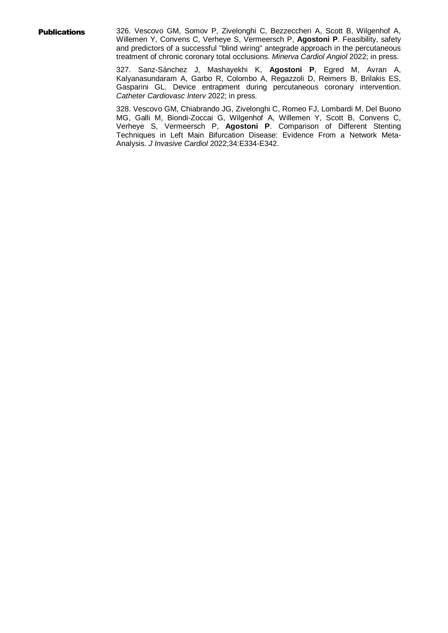**Publications** 326. Vescovo GM, Somov P, Zivelonghi C, Bezzeccheri A, Scott B, Wilgenhof A, Willemen Y, Convens C, Verheye S, Vermeersch P, **Agostoni P**. Feasibility, safety and predictors of a successful "blind wiring" antegrade approach in the percutaneous treatment of chronic coronary total occlusions. *Minerva Cardiol Angiol* 2022; in press.

> 327. Sanz-Sánchez J, Mashayekhi K, **Agostoni P**, Egred M, Avran A, Kalyanasundaram A, Garbo R, Colombo A, Regazzoli D, Reimers B, Brilakis ES, Gasparini GL. Device entrapment during percutaneous coronary intervention. *Catheter Cardiovasc Interv* 2022; in press.

> 328. Vescovo GM, Chiabrando JG, Zivelonghi C, Romeo FJ, Lombardi M, Del Buono MG, Galli M, Biondi-Zoccai G, Wilgenhof A, Willemen Y, Scott B, Convens C, Verheye S, Vermeersch P, **Agostoni P**. Comparison of Different Stenting Techniques in Left Main Bifurcation Disease: Evidence From a Network Meta-Analysis. *J Invasive Cardiol* 2022;34:E334-E342.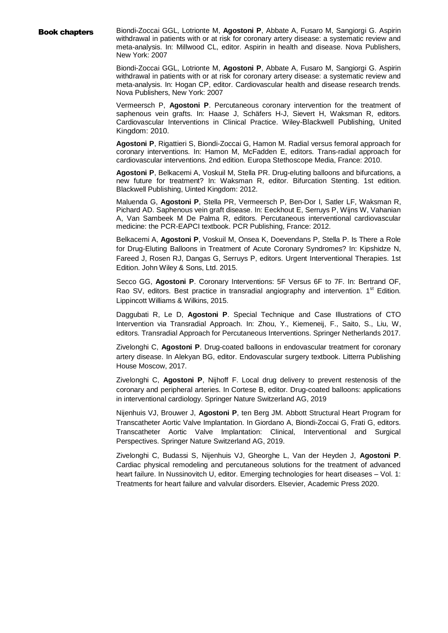Book chapters Biondi-Zoccai GGL, Lotrionte M, **Agostoni P**, Abbate A, Fusaro M, Sangiorgi G. Aspirin withdrawal in patients with or at risk for coronary artery disease: a systematic review and meta-analysis. In: Millwood CL, editor. Aspirin in health and disease. Nova Publishers, New York: 2007

> Biondi-Zoccai GGL, Lotrionte M, **Agostoni P**, Abbate A, Fusaro M, Sangiorgi G. Aspirin withdrawal in patients with or at risk for coronary artery disease: a systematic review and meta-analysis. In: Hogan CP, editor. Cardiovascular health and disease research trends. Nova Publishers, New York: 2007

> Vermeersch P, **Agostoni P**. Percutaneous coronary intervention for the treatment of saphenous vein grafts. In: Haase J, Schäfers H-J, Sievert H, Waksman R, editors. Cardiovascular Interventions in Clinical Practice. Wiley-Blackwell Publishing, United Kingdom: 2010.

> **Agostoni P**, Rigattieri S, Biondi-Zoccai G, Hamon M. Radial versus femoral approach for coronary interventions. In: Hamon M, McFadden E, editors. Trans-radial approach for cardiovascular interventions. 2nd edition. Europa Stethoscope Media, France: 2010.

> **Agostoni P**, Belkacemi A, Voskuil M, Stella PR. Drug-eluting balloons and bifurcations, a new future for treatment? In: Waksman R, editor. Bifurcation Stenting. 1st edition. Blackwell Publishing, Uinted Kingdom: 2012.

> Maluenda G, **Agostoni P**, Stella PR, Vermeersch P, Ben-Dor I, Satler LF, Waksman R, Pichard AD. Saphenous vein graft disease. In: Eeckhout E, Serruys P, Wijns W, Vahanian A, Van Sambeek M De Palma R, editors. Percutaneous interventional cardiovascular medicine: the PCR-EAPCI textbook. PCR Publishing, France: 2012.

> Belkacemi A, **Agostoni P**, Voskuil M, Onsea K, Doevendans P, Stella P. Is There a Role for Drug-Eluting Balloons in Treatment of Acute Coronary Syndromes? In: Kipshidze N, Fareed J, Rosen RJ, Dangas G, Serruys P, editors. Urgent Interventional Therapies. 1st Edition. John Wiley & Sons, Ltd. 2015.

> Secco GG, **Agostoni P**. Coronary Interventions: 5F Versus 6F to 7F. In: Bertrand OF, Rao SV, editors. Best practice in transradial angiography and intervention.  $1<sup>st</sup>$  Edition. Lippincott Williams & Wilkins, 2015.

> Daggubati R, Le D, **Agostoni P**. Special Technique and Case Illustrations of CTO Intervention via Transradial Approach. In: Zhou, Y., Kiemeneij, F., Saito, S., Liu, W, editors. Transradial Approach for Percutaneous Interventions. Springer Netherlands 2017.

> Zivelonghi C, **Agostoni P**. Drug-coated balloons in endovascular treatment for coronary artery disease. In Alekyan BG, editor. Endovascular surgery textbook. Litterra Publishing House Moscow, 2017.

> Zivelonghi C, **Agostoni P**, Nijhoff F. Local drug delivery to prevent restenosis of the coronary and peripheral arteries. In Cortese B, editor. Drug-coated balloons: applications in interventional cardiology. Springer Nature Switzerland AG, 2019

> Nijenhuis VJ, Brouwer J, **Agostoni P**, ten Berg JM. Abbott Structural Heart Program for Transcatheter Aortic Valve Implantation. In Giordano A, Biondi-Zoccai G, Frati G, editors. Transcatheter Aortic Valve Implantation: Clinical, Interventional and Surgical Perspectives. Springer Nature Switzerland AG, 2019.

> Zivelonghi C, Budassi S, Nijenhuis VJ, Gheorghe L, Van der Heyden J, **Agostoni P**. Cardiac physical remodeling and percutaneous solutions for the treatment of advanced heart failure. In Nussinovitch U, editor. Emerging technologies for heart diseases – Vol. 1: Treatments for heart failure and valvular disorders. Elsevier, Academic Press 2020.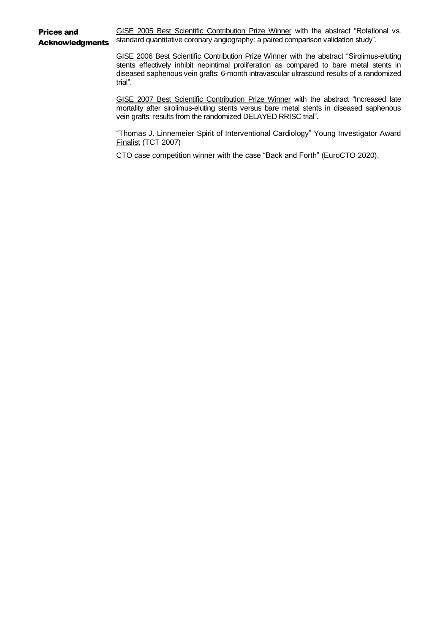Prices and **Acknowledaments** GISE 2005 Best Scientific Contribution Prize Winner with the abstract "Rotational vs. standard quantitative coronary angiography: a paired comparison validation study".

> GISE 2006 Best Scientific Contribution Prize Winner with the abstract "Sirolimus-eluting stents effectively inhibit neointimal proliferation as compared to bare metal stents in diseased saphenous vein grafts: 6-month intravascular ultrasound results of a randomized trial".

> GISE 2007 Best Scientific Contribution Prize Winner with the abstract "Increased late mortality after sirolimus-eluting stents versus bare metal stents in diseased saphenous vein grafts: results from the randomized DELAYED RRISC trial".

> "Thomas J. Linnemeier Spirit of Interventional Cardiology" Young Investigator Award Finalist (TCT 2007)

CTO case competition winner with the case "Back and Forth" (EuroCTO 2020).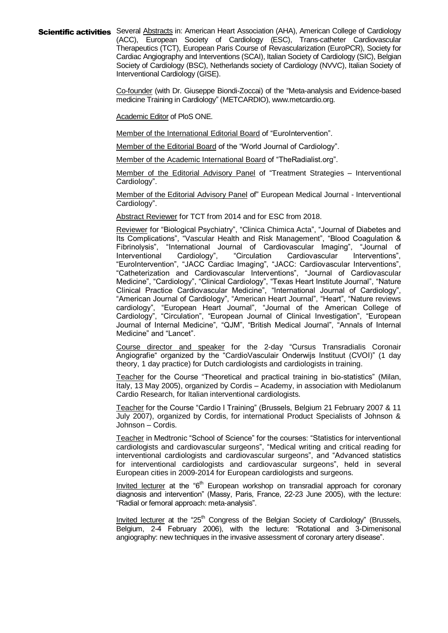Scientific activities Several Abstracts in: American Heart Association (AHA), American College of Cardiology (ACC), European Society of Cardiology (ESC), Trans-catheter Cardiovascular Therapeutics (TCT), European Paris Course of Revascularization (EuroPCR), Society for Cardiac Angiography and Interventions (SCAI), Italian Society of Cardiology (SIC), Belgian Society of Cardiology (BSC), Netherlands society of Cardiology (NVVC), Italian Society of Interventional Cardiology (GISE).

> Co-founder (with Dr. Giuseppe Biondi-Zoccai) of the "Meta-analysis and Evidence-based medicine Training in Cardiology" (METCARDIO), www.metcardio.org.

**Academic Editor of PloS ONE.** 

Member of the International Editorial Board of "EuroIntervention".

Member of the Editorial Board of the "World Journal of Cardiology".

Member of the Academic International Board of "TheRadialist.org".

Member of the Editorial Advisory Panel of "Treatment Strategies – Interventional Cardiology".

Member of the Editorial Advisory Panel of" European Medical Journal - Interventional Cardiology".

Abstract Reviewer for TCT from 2014 and for ESC from 2018.

Reviewer for "Biological Psychiatry", "Clinica Chimica Acta", "Journal of Diabetes and Its Complications", "Vascular Health and Risk Management", "Blood Coagulation & Fibrinolysis", "International Journal of Cardiovascular Imaging", "Journal of Interventional Cardiology", "Circulation Cardiovascular Interventions", "EuroIntervention", "JACC Cardiac Imaging", "JACC: Cardiovascular Interventions", "Catheterization and Cardiovascular Interventions", "Journal of Cardiovascular Medicine", "Cardiology", "Clinical Cardiology", "Texas Heart Institute Journal", "Nature Clinical Practice Cardiovascular Medicine", "International Journal of Cardiology", "American Journal of Cardiology", "American Heart Journal", "Heart", "Nature reviews cardiology", "European Heart Journal", "Journal of the American College of Cardiology", "Circulation", "European Journal of Clinical Investigation", "European Journal of Internal Medicine", "QJM", "British Medical Journal", "Annals of Internal Medicine" and "Lancet".

Course director and speaker for the 2-day "Cursus Transradialis Coronair Angiografie" organized by the "CardioVasculair Onderwijs Instituut (CVOI)" (1 day theory, 1 day practice) for Dutch cardiologists and cardiologists in training.

Teacher for the Course "Theoretical and practical training in bio-statistics" (Milan, Italy, 13 May 2005), organized by Cordis – Academy, in association with Mediolanum Cardio Research, for Italian interventional cardiologists.

Teacher for the Course "Cardio I Training" (Brussels, Belgium 21 February 2007 & 11 July 2007), organized by Cordis, for international Product Specialists of Johnson & Johnson – Cordis.

Teacher in Medtronic "School of Science" for the courses: "Statistics for interventional cardiologists and cardiovascular surgeons", "Medical writing and critical reading for interventional cardiologists and cardiovascular surgeons", and "Advanced statistics for interventional cardiologists and cardiovascular surgeons", held in several European cities in 2009-2014 for European cardiologists and surgeons.

Invited lecturer at the " $6<sup>th</sup>$  European workshop on transradial approach for coronary diagnosis and intervention" (Massy, Paris, France, 22-23 June 2005), with the lecture: "Radial or femoral approach: meta-analysis".

Invited lecturer at the "25<sup>th</sup> Congress of the Belgian Society of Cardiology" (Brussels, Belgium, 2-4 February 2006), with the lecture: "Rotational and 3-Dimenisonal angiography: new techniques in the invasive assessment of coronary artery disease".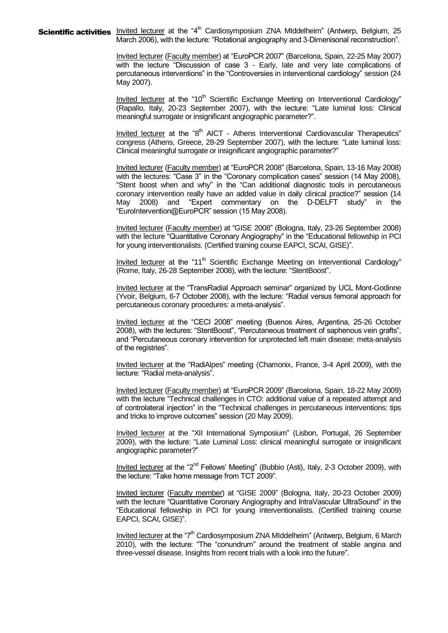**Scientific activities** Invited lecturer at the "4<sup>th</sup> Cardiosymposium ZNA MIddelheim" (Antwerp, Belgium, 25 March 2006), with the lecture: "Rotational angiography and 3-Dimenisonal reconstruction".

> Invited lecturer (Faculty member) at "EuroPCR 2007" (Barcelona, Spain, 22-25 May 2007) with the lecture "Discussion of case 3 - Early, late and very late complications of percutaneous interventions" in the "Controversies in interventional cardiology" session (24 May 2007).

> Invited lecturer at the "10 $<sup>th</sup>$  Scientific Exchange Meeting on Interventional Cardiology"</sup> (Rapallo, Italy, 20-23 September 2007), with the lecture: "Late luminal loss: Clinical meaningful surrogate or insignificant angiographic parameter?".

> Invited lecturer at the "8<sup>th</sup> AICT - Athens Interventional Cardiovascular Therapeutics" congress (Athens, Greece, 28-29 September 2007), with the lecture: "Late luminal loss: Clinical meaningful surrogate or insignificant angiographic parameter?"

> Invited lecturer (Faculty member) at "EuroPCR 2008" (Barcelona, Spain, 13-16 May 2008) with the lectures: "Case 3" in the "Coronary complication cases" session (14 May 2008), "Stent boost when and why" in the "Can additional diagnostic tools in percutaneous coronary intervention really have an added value in daily clinical practice?" session (14 May 2008) and "Expert commentary on the D-DELFT study" in the "EuroIntervention@EuroPCR" session (15 May 2008).

> Invited lecturer (Faculty member) at "GISE 2008" (Bologna, Italy, 23-26 September 2008) with the lecture "Quantitative Coronary Angiography" in the "Educational fellowship in PCI for young interventionalists. (Certified training course EAPCI, SCAI, GISE)".

> Invited lecturer at the "11<sup>th</sup> Scientific Exchange Meeting on Interventional Cardiology" (Rome, Italy, 26-28 September 2008), with the lecture: "StentBoost".

> Invited lecturer at the "TransRadial Approach seminar" organized by UCL Mont-Godinne (Yvoir, Belgium, 6-7 October 2008), with the lecture: "Radial versus femoral approach for percutaneous coronary procedures: a meta-analysis".

> Invited lecturer at the "CECI 2008" meeting (Buenos Aires, Argentina, 25-26 October 2008), with the lectures: "StentBoost", "Percutaneous treatment of saphenous vein grafts", and "Percutaneous coronary intervention for unprotected left main disease: meta-analysis of the registries".

> Invited lecturer at the "RadiAlpes" meeting (Chamonix, France, 3-4 April 2009), with the lecture: "Radial meta-analysis".

> Invited lecturer (Faculty member) at "EuroPCR 2009" (Barcelona, Spain, 18-22 May 2009) with the lecture "Technical challenges in CTO: additional value of a repeated attempt and of controlateral injection" in the "Technical challenges in percutaneous interventions: tips and tricks to improve outcomes" session (20 May 2009).

> Invited lecturer at the "XII International Symposium" (Lisbon, Portugal, 26 September 2009), with the lecture: "Late Luminal Loss: clinical meaningful surrogate or insignificant angiographic parameter?"

> Invited lecturer at the "2<sup>nd</sup> Fellows' Meeting" (Bubbio (Asti), Italy, 2-3 October 2009), with the lecture: "Take home message from TCT 2009".

> Invited lecturer (Faculty member) at "GISE 2009" (Bologna, Italy, 20-23 October 2009) with the lecture "Quantitative Coronary Angiography and IntraVascular UltraSound" in the "Educational fellowship in PCI for young interventionalists. (Certified training course EAPCI, SCAI, GISE)".

> Invited lecturer at the "7<sup>th</sup> Cardiosymposium ZNA MIddelheim" (Antwerp, Belgium, 6 March 2010), with the lecture: "The "conundrum" around the treatment of stable angina and three-vessel disease. Insights from recent trials with a look into the future".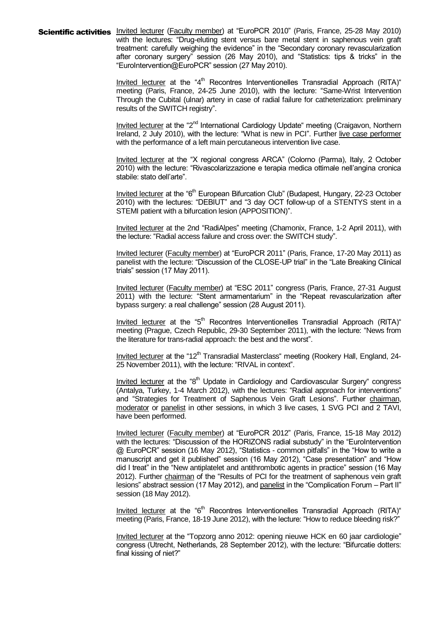Scientific activities Invited lecturer (Faculty member) at "EuroPCR 2010" (Paris, France, 25-28 May 2010) with the lectures: "Drug-eluting stent versus bare metal stent in saphenous vein graft treatment: carefully weighing the evidence" in the "Secondary coronary revascularization after coronary surgery" session (26 May 2010), and "Statistics: tips & tricks" in the "EuroIntervention@EuroPCR" session (27 May 2010).

> Invited lecturer at the "4<sup>th</sup> Recontres Interventionelles Transradial Approach (RITA)" meeting (Paris, France, 24-25 June 2010), with the lecture: "Same-Wrist Intervention Through the Cubital (ulnar) artery in case of radial failure for catheterization: preliminary results of the SWITCH registry".

> Invited lecturer at the "2<sup>nd</sup> International Cardiology Update" meeting (Craigavon, Northern Ireland, 2 July 2010), with the lecture: "What is new in PCI". Further live case performer with the performance of a left main percutaneous intervention live case.

> Invited lecturer at the "X regional congress ARCA" (Colorno (Parma), Italy, 2 October 2010) with the lecture: "Rivascolarizzazione e terapia medica ottimale nell'angina cronica stabile: stato dell'arte".

> Invited lecturer at the "6<sup>th</sup> European Bifurcation Club" (Budapest, Hungary, 22-23 October 2010) with the lectures: "DEBIUT" and "3 day OCT follow-up of a STENTYS stent in a STEMI patient with a bifurcation lesion (APPOSITION)".

> Invited lecturer at the 2nd "RadiAlpes" meeting (Chamonix, France, 1-2 April 2011), with the lecture: "Radial access failure and cross over: the SWITCH study".

> Invited lecturer (Faculty member) at "EuroPCR 2011" (Paris, France, 17-20 May 2011) as panelist with the lecture: "Discussion of the CLOSE-UP trial" in the "Late Breaking Clinical trials" session (17 May 2011).

> Invited lecturer (Faculty member) at "ESC 2011" congress (Paris, France, 27-31 August 2011) with the lecture: "Stent armamentarium" in the "Repeat revascularization after bypass surgery: a real challenge" session (28 August 2011).

> Invited lecturer at the "5<sup>th</sup> Recontres Interventionelles Transradial Approach (RITA)" meeting (Prague, Czech Republic, 29-30 September 2011), with the lecture: "News from the literature for trans-radial approach: the best and the worst".

> Invited lecturer at the "12<sup>th</sup> Transradial Masterclass" meeting (Rookery Hall, England, 24-25 November 2011), with the lecture: "RIVAL in context".

> Invited lecturer at the "8<sup>th</sup> Update in Cardiology and Cardiovascular Surgery" congress (Antalya, Turkey, 1-4 March 2012), with the lectures: "Radial approach for interventions" and "Strategies for Treatment of Saphenous Vein Graft Lesions". Further chairman, moderator or panelist in other sessions, in which 3 live cases, 1 SVG PCI and 2 TAVI, have been performed.

> Invited lecturer (Faculty member) at "EuroPCR 2012" (Paris, France, 15-18 May 2012) with the lectures: "Discussion of the HORIZONS radial substudy" in the "EuroIntervention @ EuroPCR" session (16 May 2012), "Statistics - common pitfalls" in the "How to write a manuscript and get it published" session (16 May 2012), "Case presentation" and "How did I treat" in the "New antiplatelet and antithrombotic agents in practice" session (16 May 2012). Further chairman of the "Results of PCI for the treatment of saphenous vein graft lesions" abstract session (17 May 2012), and panelist in the "Complication Forum – Part II" session (18 May 2012).

> Invited lecturer at the "6<sup>th</sup> Recontres Interventionelles Transradial Approach (RITA)" meeting (Paris, France, 18-19 June 2012), with the lecture: "How to reduce bleeding risk?"

> Invited lecturer at the "Topzorg anno 2012: opening nieuwe HCK en 60 jaar cardiologie" congress (Utrecht, Netherlands, 28 September 2012), with the lecture: "Bifurcatie dotters: final kissing of niet?"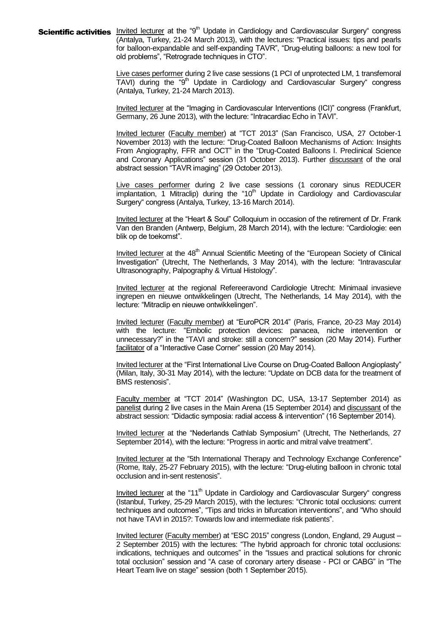Scientific activities **Invited lecturer at the "9<sup>th</sup> Update in Cardiology and Cardiovascular Surgery" congress** (Antalya, Turkey, 21-24 March 2013), with the lectures: "Practical issues: tips and pearls for balloon-expandable and self-expanding TAVR", "Drug-eluting balloons: a new tool for old problems", "Retrograde techniques in CTO".

> Live cases performer during 2 live case sessions (1 PCI of unprotected LM, 1 transfemoral TAVI) during the "9<sup>th</sup> Update in Cardiology and Cardiovascular Surgery" congress (Antalya, Turkey, 21-24 March 2013).

> Invited lecturer at the "Imaging in Cardiovascular Interventions (ICI)" congress (Frankfurt, Germany, 26 June 2013), with the lecture: "Intracardiac Echo in TAVI".

> Invited lecturer (Faculty member) at "TCT 2013" (San Francisco, USA, 27 October-1 November 2013) with the lecture: "Drug-Coated Balloon Mechanisms of Action: Insights From Angiography, FFR and OCT" in the "Drug-Coated Balloons I. Preclinical Science and Coronary Applications" session (31 October 2013). Further discussant of the oral abstract session "TAVR imaging" (29 October 2013).

> Live cases performer during 2 live case sessions (1 coronary sinus REDUCER  $\overline{\mathsf{impl}$  and Cardiovascular (10th Update in Cardiology and Cardiovascular Surgery" congress (Antalya, Turkey, 13-16 March 2014).

> Invited lecturer at the "Heart & Soul" Colloquium in occasion of the retirement of Dr. Frank Van den Branden (Antwerp, Belgium, 28 March 2014), with the lecture: "Cardiologie: een blik op de toekomst".

> Invited lecturer at the 48<sup>th</sup> Annual Scientific Meeting of the "European Society of Clinical Investigation" (Utrecht, The Netherlands, 3 May 2014), with the lecture: "Intravascular Ultrasonography, Palpography & Virtual Histology".

> Invited lecturer at the regional Refereeravond Cardiologie Utrecht: Minimaal invasieve ingrepen en nieuwe ontwikkelingen (Utrecht, The Netherlands, 14 May 2014), with the lecture: "Mitraclip en nieuwe ontwikkelingen".

> Invited lecturer (Faculty member) at "EuroPCR 2014" (Paris, France, 20-23 May 2014) with the lecture: "Embolic protection devices: panacea, niche intervention or unnecessary?" in the "TAVI and stroke: still a concern?" session (20 May 2014). Further facilitator of a "Interactive Case Corner" session (20 May 2014).

> Invited lecturer at the "First International Live Course on Drug-Coated Balloon Angioplasty" (Milan, Italy, 30-31 May 2014), with the lecture: "Update on DCB data for the treatment of BMS restenosis".

> Faculty member at "TCT 2014" (Washington DC, USA, 13-17 September 2014) as panelist during 2 live cases in the Main Arena (15 September 2014) and discussant of the abstract session: "Didactic symposia: radial access & intervention" (16 September 2014).

> Invited lecturer at the "Nederlands Cathlab Symposium" (Utrecht, The Netherlands, 27 September 2014), with the lecture: "Progress in aortic and mitral valve treatment".

> Invited lecturer at the "5th International Therapy and Technology Exchange Conference" (Rome, Italy, 25-27 February 2015), with the lecture: "Drug-eluting balloon in chronic total occlusion and in-sent restenosis".

> Invited lecturer at the "11<sup>th</sup> Update in Cardiology and Cardiovascular Surgery" congress (Istanbul, Turkey, 25-29 March 2015), with the lectures: "Chronic total occlusions: current techniques and outcomes", "Tips and tricks in bifurcation interventions", and "Who should not have TAVI in 2015?: Towards low and intermediate risk patients".

> Invited lecturer (Faculty member) at "ESC 2015" congress (London, England, 29 August – 2 September 2015) with the lectures: "The hybrid approach for chronic total occlusions: indications, techniques and outcomes" in the "Issues and practical solutions for chronic total occlusion" session and "A case of coronary artery disease - PCI or CABG" in "The Heart Team live on stage" session (both 1 September 2015).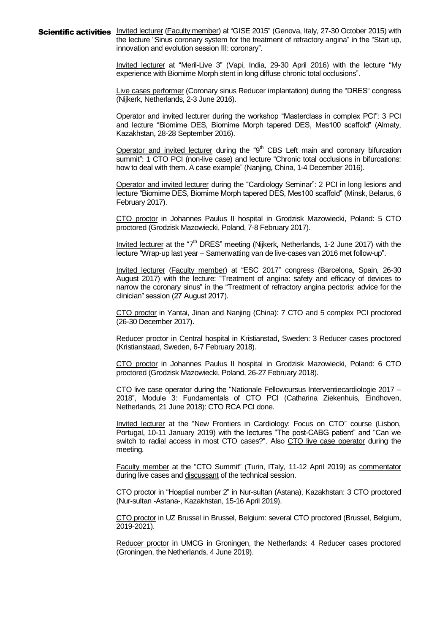Scientific activities Invited lecturer (Faculty member) at "GISE 2015" (Genova, Italy, 27-30 October 2015) with the lecture "Sinus coronary system for the treatment of refractory angina" in the "Start up, innovation and evolution session III: coronary".

> Invited lecturer at "Meril-Live 3" (Vapi, India, 29-30 April 2016) with the lecture "My experience with Biomime Morph stent in long diffuse chronic total occlusions".

> Live cases performer (Coronary sinus Reducer implantation) during the "DRES" congress (Nijkerk, Netherlands, 2-3 June 2016).

> Operator and invited lecturer during the workshop "Masterclass in complex PCI": 3 PCI and lecture "Biomime DES, Biomime Morph tapered DES, Mes100 scaffold" (Almaty, Kazakhstan, 28-28 September 2016).

> Operator and invited lecturer during the "9<sup>th</sup> CBS Left main and coronary bifurcation summit": 1 CTO PCI (non-live case) and lecture "Chronic total occlusions in bifurcations: how to deal with them. A case example" (Nanjing, China, 1-4 December 2016).

> Operator and invited lecturer during the "Cardiology Seminar": 2 PCI in long lesions and lecture "Biomime DES, Biomime Morph tapered DES, Mes100 scaffold" (Minsk, Belarus, 6 February 2017).

> CTO proctor in Johannes Paulus II hospital in Grodzisk Mazowiecki, Poland: 5 CTO proctored (Grodzisk Mazowiecki, Poland, 7-8 February 2017).

> Invited lecturer at the "7<sup>th</sup> DRES" meeting (Nijkerk, Netherlands, 1-2 June 2017) with the lecture "Wrap-up last year – Samenvatting van de live-cases van 2016 met follow-up".

> Invited lecturer (Faculty member) at "ESC 2017" congress (Barcelona, Spain, 26-30 August 2017) with the lecture: "Treatment of angina: safety and efficacy of devices to narrow the coronary sinus" in the "Treatment of refractory angina pectoris: advice for the clinician" session (27 August 2017).

> CTO proctor in Yantai, Jinan and Nanjing (China): 7 CTO and 5 complex PCI proctored (26-30 December 2017).

> Reducer proctor in Central hospital in Kristianstad, Sweden: 3 Reducer cases proctored (Kristianstaad, Sweden, 6-7 February 2018).

> CTO proctor in Johannes Paulus II hospital in Grodzisk Mazowiecki, Poland: 6 CTO proctored (Grodzisk Mazowiecki, Poland, 26-27 February 2018).

> CTO live case operator during the "Nationale Fellowcursus Interventiecardiologie 2017 – 2018", Module 3: Fundamentals of CTO PCI (Catharina Ziekenhuis, Eindhoven, Netherlands, 21 June 2018): CTO RCA PCI done.

> Invited lecturer at the "New Frontiers in Cardiology: Focus on CTO" course (Lisbon, Portugal, 10-11 January 2019) with the lectures "The post-CABG patient" and "Can we switch to radial access in most CTO cases?". Also CTO live case operator during the meeting.

> Faculty member at the "CTO Summit" (Turin, ITaly, 11-12 April 2019) as commentator during live cases and discussant of the technical session.

> CTO proctor in "Hosptial number 2" in Nur-sultan (Astana), Kazakhstan: 3 CTO proctored (Nur-sultan -Astana-, Kazakhstan, 15-16 April 2019).

> CTO proctor in UZ Brussel in Brussel, Belgium: several CTO proctored (Brussel, Belgium, 2019-2021).

> Reducer proctor in UMCG in Groningen, the Netherlands: 4 Reducer cases proctored (Groningen, the Netherlands, 4 June 2019).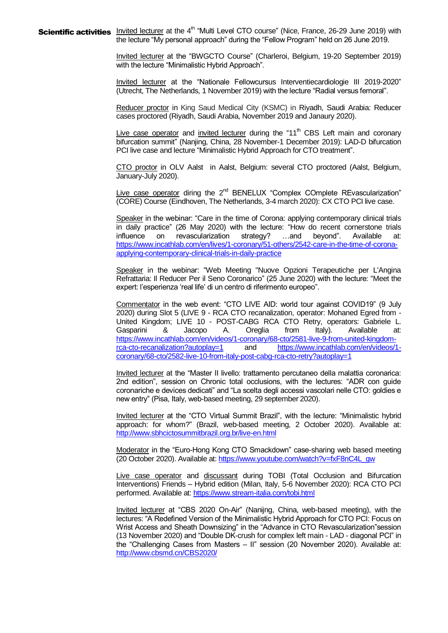**Scientific activities** Invited lecturer at the 4<sup>th</sup> "Multi Level CTO course" (Nice, France, 26-29 June 2019) with the lecture "My personal approach" during the "Fellow Program" held on 26 June 2019.

> Invited lecturer at the "BWGCTO Course" (Charleroi, Belgium, 19-20 September 2019) with the lecture "Minimalistic Hybrid Approach".

> Invited lecturer at the "Nationale Fellowcursus Interventiecardiologie III 2019-2020" (Utrecht, The Netherlands, 1 November 2019) with the lecture "Radial versus femoral".

> Reducer proctor in King Saud Medical City (KSMC) in Riyadh, Saudi Arabia: Reducer cases proctored (Riyadh, Saudi Arabia, November 2019 and Janaury 2020).

> Live case operator and invited lecturer during the " $11<sup>th</sup>$  CBS Left main and coronary bifurcation summit" (Nanjing, China, 28 November-1 December 2019): LAD-D bifurcation PCI live case and lecture "Minimalistic Hybrid Approach for CTO treatment".

> CTO proctor in OLV Aalst in Aalst, Belgium: several CTO proctored (Aalst, Belgium, January-July 2020).

> Live case operator diring the  $2^{nd}$  BENELUX "Complex COmplete REvascularization" (CORE) Course (Eindhoven, The Netherlands, 3-4 march 2020): CX CTO PCI live case.

> Speaker in the webinar: "Care in the time of Corona: applying contemporary clinical trials in daily practice" (26 May 2020) with the lecture: "How do recent cornerstone trials influence on revascularization strategy? …and beyond". Available at: [https://www.incathlab.com/en/lives/1-coronary/51-others/2542-care-in-the-time-of-corona](https://www.incathlab.com/en/lives/1-coronary/51-others/2542-care-in-the-time-of-corona-applying-contemporary-clinical-trials-in-daily-practice)[applying-contemporary-clinical-trials-in-daily-practice](https://www.incathlab.com/en/lives/1-coronary/51-others/2542-care-in-the-time-of-corona-applying-contemporary-clinical-trials-in-daily-practice)

> Speaker in the webinar: "Web Meeting "Nuove Opzioni Terapeutiche per L'Angina Refrattaria: Il Reducer Per il Seno Coronarico" (25 June 2020) with the lecture: "Meet the expert: l'esperienza 'real life' di un centro di riferimento europeo".

> Commentator in the web event: "CTO LIVE AID: world tour against COVID19" (9 July 2020) during Slot 5 (LIVE 9 - RCA CTO recanalization, operator: Mohaned Egred from - United Kingdom; LIVE 10 - POST-CABG RCA CTO Retry, operators: Gabriele L. Gasparini & Jacopo A. Oreglia from Italy). Available at: [https://www.incathlab.com/en/videos/1-coronary/68-cto/2581-live-9-from-united-kingdom](https://www.incathlab.com/en/videos/1-coronary/68-cto/2581-live-9-from-united-kingdom-rca-cto-recanalization?autoplay=1)[rca-cto-recanalization?autoplay=1](https://www.incathlab.com/en/videos/1-coronary/68-cto/2581-live-9-from-united-kingdom-rca-cto-recanalization?autoplay=1) and [https://www.incathlab.com/en/videos/1](https://www.incathlab.com/en/videos/1-coronary/68-cto/2582-live-10-from-italy-post-cabg-rca-cto-retry?autoplay=1) [coronary/68-cto/2582-live-10-from-italy-post-cabg-rca-cto-retry?autoplay=1](https://www.incathlab.com/en/videos/1-coronary/68-cto/2582-live-10-from-italy-post-cabg-rca-cto-retry?autoplay=1)

> Invited lecturer at the "Master II livello: trattamento percutaneo della malattia coronarica: 2nd edition", session on Chronic total occlusions, with the lectures: "ADR con guide coronariche e devices dedicati" and "La scelta degli accessi vascolari nelle CTO: goldies e new entry" (Pisa, Italy, web-based meeting, 29 september 2020).

> Invited lecturer at the "CTO Virtual Summit Brazil", with the lecture: "Minimalistic hybrid approach: for whom?" (Brazil, web-based meeting, 2 October 2020). Available at: [http://www.sbhcictosummitbrazil.org.br/live-en.html](https://l.facebook.com/l.php?u=http%3A%2F%2Fwww.sbhcictosummitbrazil.org.br%2Flive-en.html%3Ffbclid%3DIwAR2lq4GbenP-uJkyosO1nwEpASqr75kSHGEUz9T79QnUxkFToJWGtcOEBpk&h=AT0iP9OZiGz4wKW6WpgcodRULIfBVmUsxo0lRJa5DptgjoBJGUAJufer2E_7sWqoWU5Otem1SHhAClO6h08Oc5scP6DTRxgyhSJj6Kd0lgVD-bKEzW1l4ii53p-HWV-XbQ&__tn__=-UK-R&c%5b0%5d=AT1IpovLhEW8M-IwBBvpGhY1rRJnW0CTuql411ClRWjkFSNlFsN07Z3eoKtbf9NK-T6xVnnwdlSajSsfJAkwWeIPn-11GzyuiPgH7sTDg-Bk3OAwaAFjSQAWWlES_wJNqqXcJJ5OFZaLUS8EYU6cUA)

> Moderator in the "Euro-Hong Kong CTO Smackdown" case-sharing web based meeting (20 October 2020). Available at[: https://www.youtube.com/watch?v=fxF8nC4L\\_gw](https://www.youtube.com/watch?v=fxF8nC4L_gw)

> Live case operator and discussant during TOBI (Total Occlusion and Bifurcation Interventions) Friends – Hybrid edition (Milan, Italy, 5-6 November 2020): RCA CTO PCI performed. Available at[: https://www.stream-italia.com/tobi.html](https://www.stream-italia.com/tobi.html)

> Invited lecturer at "CBS 2020 On-Air" (Nanijng, China, web-based meeting), with the lectures: "A Redefined Version of the Minimalistic Hybrid Approach for CTO PCI: Focus on Wrist Access and Sheath Downsizing" in the "Advance in CTO Revascularization"session (13 November 2020) and "Double DK-crush for complex left main - LAD - diagonal PCI" in the "Challenging Cases from Masters – II" session (20 November 2020). Available at: <http://www.cbsmd.cn/CBS2020/>